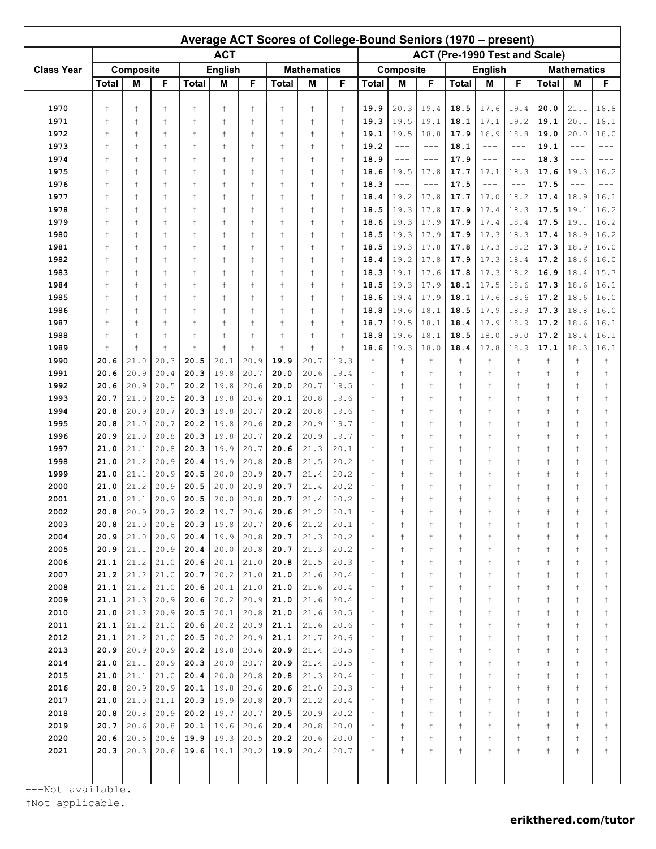| Average ACT Scores of College-Bound Seniors (1970 – present) |                          |                          |                          |                          |                          |                          |                             |                          |                          |                                |                                |                                |                                |                                |                             |                             |                                |                             |  |  |
|--------------------------------------------------------------|--------------------------|--------------------------|--------------------------|--------------------------|--------------------------|--------------------------|-----------------------------|--------------------------|--------------------------|--------------------------------|--------------------------------|--------------------------------|--------------------------------|--------------------------------|-----------------------------|-----------------------------|--------------------------------|-----------------------------|--|--|
|                                                              | <b>ACT</b>               |                          |                          |                          |                          |                          |                             |                          |                          |                                | ACT (Pre-1990 Test and Scale)  |                                |                                |                                |                             |                             |                                |                             |  |  |
| <b>Class Year</b>                                            | Composite                |                          |                          | <b>English</b>           |                          |                          | <b>Mathematics</b>          |                          |                          | Composite                      |                                |                                | <b>English</b>                 |                                |                             | <b>Mathematics</b>          |                                |                             |  |  |
|                                                              | <b>Total</b>             | М                        | F                        | <b>Total</b>             | M                        | F                        | <b>Total</b>                | M                        | F                        | <b>Total</b>                   | М                              | F                              | <b>Total</b>                   | M                              | F                           | <b>Total</b>                | M                              | F                           |  |  |
|                                                              |                          |                          |                          |                          |                          |                          |                             |                          |                          |                                |                                |                                |                                |                                |                             |                             |                                |                             |  |  |
| 1970                                                         | $\ddagger$               | $\ddagger$               | $\ddagger$               | $\ddagger$               | $\ddagger$               | $\ddagger$               | $\ddagger$                  | $\ddagger$               | $\ddagger$               | 19.9                           | 20.3                           | 19.4                           | 18.5                           | 17.6                           | 19.4                        | 20.0                        | 21.1                           | 18.8                        |  |  |
| 1971                                                         | $\ddagger$               | $\ddagger$               | $\ddagger$               | $\ddagger$               | $\ddagger$<br>$\ddagger$ | $\ddagger$               | $\ddagger$                  | $\ddagger$               | $\ddagger$               | 19.3                           | 19.5                           | 19.1                           | 18.1                           | 17.1                           | 19.2                        | 19.1                        | 20.1                           | 18.1                        |  |  |
| 1972<br>1973                                                 | $\ddagger$<br>$\ddagger$ | $\ddagger$<br>$\ddagger$ | $\ddagger$<br>$\ddagger$ | $\ddagger$<br>$\ddagger$ | $\ddagger$               | $\ddagger$<br>$\ddagger$ | $\ddagger$<br>$^\mathrm{+}$ | $\ddagger$<br>$\ddagger$ | $\ddagger$<br>$\ddagger$ | 19.1<br>19.2                   | 19.5<br>$---$                  | 18.8<br>$---$                  | 17.9<br>18.1                   | 16.9<br>$---$                  | 18.8<br>$---$               | 19.0<br>19.1                | 20.0<br>$---$                  | 18.0                        |  |  |
| 1974                                                         | $\ddagger$               | $\ddagger$               | $\ddagger$               | $\ddagger$               | $\ddagger$               | $\ddagger$               | $^{\dagger}$                | $\ddagger$               | $\ddagger$               | 18.9                           | $---$                          | $---$                          | 17.9                           | $- - -$                        | $- - -$                     | 18.3                        | $---$                          | $---$                       |  |  |
| 1975                                                         | $\ddagger$               | $\ddagger$               | $\ddagger$               | $\ddagger$               | $\ddagger$               | $\ddagger$               | $\ddagger$                  | $\ddagger$               | $\ddagger$               | 18.6                           | 19.5                           | 17.8                           | 17.7                           | 17.1                           | 18.3                        | 17.6                        | 19.3                           | 16.2                        |  |  |
| 1976                                                         | $\ddagger$               | $\ddagger$               | $\ddagger$               | $\ddagger$               | $^{\mathrm{+}}$          | $\ddagger$               | $\ddagger$                  | $\ddagger$               | $\ddagger$               | 18.3                           | $---$                          | $---$                          | 17.5                           | $---$                          | $- - -$                     | 17.5                        | $---$                          | $- - -$                     |  |  |
| 1977                                                         | $\ddagger$               | $\ddagger$               | $\ddagger$               | $\ddagger$               | $^{\mathrm{+}}$          | $\overline{1}$           | $\ddagger$                  | $\ddagger$               | $\ddagger$               | 18.4                           | 19.2                           | 17.8                           | 17.7                           | 17.0                           | 18.2                        | 17.4                        | 18.9                           | 16.1                        |  |  |
| 1978                                                         | $\ddagger$               | $\ddagger$               | $\ddagger$               | $\ddagger$               | $^{\mathrm{+}}$          | $\overline{1}$           | $^{\dagger}$                | $\ddagger$               | $\ddagger$               | 18.5                           | 19.3                           | 17.8                           | 17.9                           | 17.4                           | 18.3                        | 17.5                        | 19.1                           | 16.2                        |  |  |
| 1979                                                         | $\ddagger$               | $\ddagger$               | $\ddagger$               | $\ddagger$               | $\ddagger$               | $\ddagger$               | $\ddagger$                  | $\ddagger$               | $\ddagger$               | 18.6                           | 19.3                           | 17.9                           | 17.9                           | 17.4                           | 18.4                        | 17.5                        | 19.1                           | 16.2                        |  |  |
| 1980                                                         | $\ddagger$               | $\ddagger$<br>$\ddagger$ | $\ddagger$               | $\ddagger$<br>$\ddagger$ | $\ddagger$<br>$\ddagger$ | $\ddagger$               | $\ddagger$<br>$\ddagger$    | $\ddagger$               | $\ddagger$               | 18.5                           | 19.3<br>19.3                   | 17.9<br>17.8                   | 17.9<br>17.8                   | 17.3<br>17.3                   | 18.3<br>18.2                | 17.4<br>17.3                | 18.9<br>18.9                   | 16.2<br>16.0                |  |  |
| 1981<br>1982                                                 | $\ddagger$<br>$\ddagger$ | $\ddagger$               | $\ddagger$<br>$\ddagger$ | $\ddagger$               | t                        | $\ddagger$<br>$\ddagger$ | $\ddagger$                  | $\ddagger$<br>$\ddagger$ | $\ddagger$<br>$\ddagger$ | 18.5<br>18.4                   | 19.2                           | 17.8                           | 17.9                           | 17.3                           | 18.4                        | 17.2                        | 18.6                           | 16.0                        |  |  |
| 1983                                                         | $\ddagger$               | $\ddagger$               | $\ddagger$               | $\ddagger$               | $^{\mathrm{+}}$          | $\ddagger$               | $\ddagger$                  | $\ddagger$               | $\ddagger$               | 18.3                           | 19.1                           | 17.6                           | 17.8                           | 17.3                           | 18.2                        | 16.9                        | 18.4                           | 15.7                        |  |  |
| 1984                                                         | $\ddagger$               | $\ddagger$               | $\ddagger$               | $\ddagger$               | t                        | $\overline{1}$           | $\ddagger$                  | $\ddagger$               | $\ddagger$               | 18.5                           | 19.3                           | 17.9                           | 18.1                           | 17.5                           | 18.6                        | 17.3                        | 18.6                           | 16.1                        |  |  |
| 1985                                                         | $\ddagger$               | $\ddagger$               | $\ddagger$               | $\ddagger$               | $\ddagger$               | $\ddagger$               | $^{\dagger}$                | $\ddagger$               | $\ddagger$               | 18.6                           | 19.4                           | 17.9                           | 18.1                           | 17.6                           | 18.6                        | 17.2                        | 18.6                           | 16.0                        |  |  |
| 1986                                                         | $\ddagger$               | $\ddagger$               | $\ddagger$               | $\ddagger$               | $\ddagger$               | $\ddagger$               | $^{\dagger}$                | $\ddagger$               | $\ddagger$               | 18.8                           | 19.6                           | 18.1                           | 18.5                           | 17.9                           | 18.9                        | 17.3                        | 18.8                           | 16.0                        |  |  |
| 1987                                                         | $\ddagger$               | $\ddagger$               | $\ddagger$               | $\ddagger$               | $\ddagger$               | $\ddagger$               | $\ddagger$                  | $\ddagger$               | $\ddagger$               | 18.7                           | 19.5                           | 18.1                           | 18.4                           | 17.9                           | 18.9                        | 17.2                        | 18.6                           | 16.1                        |  |  |
| 1988                                                         | $\ddagger$               | $\ddagger$               | $\ddagger$               | $^{+}$                   | $^{\mathrm{+}}$          | $\ddagger$               | $\ddagger$                  | $^{+}$                   | $\ddagger$               | 18.8                           | 19.6                           | 18.1                           | 18.5                           | 18.0                           | 19.0                        | 17.2                        | 18.4                           | 16.1                        |  |  |
| 1989                                                         | $\overline{1}$           | $\ddagger$               | $\ddagger$               | $\ddagger$               | $\ddagger$               | $\overline{1}$           | $\ddagger$                  | $\ddagger$               | $\ddagger$               | 18.6                           | 19.3                           | 18.0                           | 18.4                           | 17.8                           | 18.9                        | 17.1                        | 18.3                           | 16.1                        |  |  |
| 1990                                                         | 20.6                     | 21.0                     | 20.3                     | 20.5                     | 20.1                     | 20.9                     | 19.9                        | 20.7                     | 19.3                     | $\ddagger$                     | $\ddagger$                     | $\ddagger$                     | $\ddagger$                     | $^\mathrm{+}$                  | $\ddagger$                  | $\ddagger$                  | $\ddagger$                     |                             |  |  |
| 1991<br>1992                                                 | 20.6<br>20.6             | 20.9<br>20.9             | 20.4<br>20.5             | 20.3<br>20.2             | 19.8<br>19.8             | 20.7<br>20.6             | 20.0<br>20.0                | 20.6<br>20.7             | 19.4<br>19.5             | $^{+}$<br>$\ddagger$           | $\ddagger$<br>$\ddagger$       | $\ddagger$<br>$\ddagger$       | $\ddagger$<br>$\ddagger$       | $\ddagger$<br>$\ddagger$       | $\ddagger$<br>$\ddagger$    | $\ddagger$<br>$\ddagger$    | $\ddagger$<br>$\ddagger$       |                             |  |  |
| 1993                                                         | 20.7                     | 21.0                     | 20.5                     | 20.3                     | 19.8                     | 20.6                     | 20.1                        | 20.8                     | 19.6                     | $^{+}$                         | $\ddagger$                     | $\ddagger$                     | $\ddagger$                     | $\ddagger$                     | $\ddagger$                  | $\ddagger$                  | $\ddagger$                     |                             |  |  |
| 1994                                                         | 20.8                     | 20.9                     | 20.7                     | 20.3                     | 19.8                     | 20.7                     | 20.2                        | 20.8                     | 19.6                     | $\ddagger$                     | $^{+}$                         | $\ddagger$                     | $\ddagger$                     | $\ddagger$                     | $\ddagger$                  | $\ddagger$                  | $\ddagger$                     |                             |  |  |
| 1995                                                         | 20.8                     | 21.0                     | 20.7                     | 20.2                     | 19.8                     | 20.6                     | 20.2                        | 20.9                     | 19.7                     | $\ddagger$                     | $^{+}$                         | $\ddagger$                     | $\ddagger$                     | $\ddagger$                     | $\ddagger$                  | $\ddagger$                  | $\ddagger$                     |                             |  |  |
| 1996                                                         | 20.9                     | 21.0                     | 20.8                     | 20.3                     | 19.8                     | 20.7                     | 20.2                        | 20.9                     | 19.7                     | $\ddagger$                     | $\ddagger$                     | $\ddagger$                     | $\ddagger$                     | $^\mathrm{+}$                  | $\ddagger$                  | $\ddagger$                  | $\ddagger$                     |                             |  |  |
| 1997                                                         | 21.0                     | 21.1                     | 20.8                     | 20.3                     | 19.9                     | 20.7                     | 20.6                        | 21.3                     | 20.1                     | $\ddagger$                     | $\ddagger$                     | $\ddagger$                     | $\ddagger$                     | $^\mathrm{+}$                  | $\ddagger$                  | $\ddagger$                  | $\ddagger$                     |                             |  |  |
| 1998                                                         | 21.0                     | 21.2                     | 20.9                     | 20.4                     | 19.9                     | 20.8                     | 20.8                        | 21.5                     | 20.2                     | $\ddagger$                     | $\ddagger$                     | $\ddagger$                     | $\ddagger$                     | $^\mathrm{+}$                  | $\ddagger$                  | $\ddagger$                  | $\ddagger$                     |                             |  |  |
| 1999                                                         | 21.0                     | 21.1                     | 20.9                     | 20.5                     | 20.0                     | 20.9                     | 20.7                        | 21.4                     | 20.2                     | $\ddagger$                     | $\ddagger$                     | $\ddagger$                     | $\ddagger$                     | $\ddagger$                     | $\ddagger$                  | $\ddagger$                  | $\ddagger$                     |                             |  |  |
| 2000                                                         | 21.0                     | 21.2                     | 20.9                     | 20.5                     | 20.0                     | 20.9                     | 20.7                        | 21.4                     | 20.2                     | $\ddagger$                     |                                | $^{\mathrm{+}}$                | $\ddagger$                     | $\ddagger$                     | $^\mathrm{+}$               | $\ddagger$                  | t                              |                             |  |  |
| 2001<br>2002                                                 | 21.0<br>20.8             | 21.1<br>20.9             | 20.9<br>20.7             | 20.5<br>20.2             | 20.0<br>19.7             | 20.8<br>20.6             | 20.7<br>20.6                | 21.4<br>21.2             | 20.2<br>20.1             | $\ddagger$<br>$^\mathrm{+}$    | $^{+}$<br>$^\mathrm{+}$        | $\ddagger$<br>$\ddagger$       | $\ddagger$<br>$\ddagger$       | $\ddagger$<br>$^\mathrm{+}$    | $\ddagger$<br>$\ddagger$    | $\ddagger$<br>$^\mathrm{+}$ | $\ddagger$<br>$^\mathrm{+}$    |                             |  |  |
| 2003                                                         | 20.8                     | 21.0                     | 20.8                     | 20.3                     | 19.8                     | 20.7                     | 20.6                        | 21.2                     | 20.1                     | $^\mathrm{+}$                  | $^\mathrm{+}$                  | $^\mathrm{+}$                  | $^\mathrm{+}$                  | $^\mathrm{+}$                  | $^\mathrm{+}$               | $\ddagger$                  | $^\mathrm{+}$                  | $^\mathrm{+}$               |  |  |
| 2004                                                         | 20.9                     | 21.0                     | 20.9                     | 20.4                     | 19.9                     | 20.8                     | 20.7                        | 21.3                     | 20.2                     | $^\mathrm{+}$                  | $^\mathrm{+}$                  | $^\mathrm{+}$                  | $^\mathrm{+}$                  | $^\mathrm{+}$                  | $\ddagger$                  | $\ddagger$                  | $\ddagger$                     | $^\mathrm{+}$               |  |  |
| 2005                                                         | 20.9                     | 21.1                     | 20.9                     | 20.4                     | 20.0                     | 20.8                     | 20.7                        | 21.3                     | 20.2                     | $^\mathrm{+}$                  | $^\mathrm{+}$                  | $^\mathrm{+}$                  | $^\mathrm{+}$                  | $^\mathrm{+}$                  | $^\mathrm{+}$               | $\ddagger$                  | $^\mathrm{+}$                  | $\ddagger$                  |  |  |
| 2006                                                         | 21.1                     | 21.2                     | 21.0                     | 20.6                     | 20.1                     | 21.0                     | 20.8                        | 21.5                     | 20.3                     | $^\mathrm{+}$                  | $^{\dagger}$                   | $\ddagger$                     | $\ddagger$                     | $\ddagger$                     | $^\dagger$                  | $\ddagger$                  | $^\mathrm{+}$                  | $\ddagger$                  |  |  |
| 2007                                                         | 21.2                     | 21.2                     | 21.0                     | 20.7                     | 20.2                     | 21.0                     | 21.0                        | 21.6                     | 20.4                     | $^{+}$                         | $^{\dagger}$                   | $\ddagger$                     | $^{\dagger}$                   | $\ddagger$                     | $^\dagger$                  | $\ddagger$                  | $^\mathrm{+}$                  | $\ddagger$                  |  |  |
| 2008                                                         | 21.1                     | 21.2                     | 21.0                     | 20.6                     | 20.1                     | 21.0                     | 21.0                        | 21.6                     | 20.4                     | $^\dagger$                     | $^{\dagger}$                   | $\ddagger$                     | $\ddagger$                     | $\ddagger$                     | $^\dagger$                  | $^\mathrm{+}$               | $^\mathrm{+}$                  | $\ddagger$                  |  |  |
| 2009                                                         | 21.1                     | 21.3                     | 20.9                     | 20.6                     | 20.2                     | 20.9                     | 21.0                        | 21.6                     | 20.4                     | $^\dagger$                     | $^{\dagger}$                   | $\ddagger$                     | $\ddagger$                     | $\ddagger$                     | $^\dagger$                  | $^\mathrm{+}$               | $^\mathrm{+}$                  | $\ddagger$                  |  |  |
| 2010                                                         | 21.0                     | 21.2<br>21.2             | 20.9<br>21.0             | 20.5<br>20.6             | 20.1<br>20.2             | 20.8<br>20.9             | 21.0<br>21.1                | 21.6<br>21.6             | 20.5<br>20.6             | $^\mathrm{+}$                  | $^\mathrm{+}$<br>$^\mathrm{+}$ | $^\mathrm{+}$<br>$^\mathrm{+}$ | $^\mathrm{+}$<br>$^\mathrm{+}$ | $^\mathrm{+}$<br>$^\mathrm{+}$ | $\ddagger$<br>$\ddagger$    | $^\mathrm{+}$<br>$\ddagger$ | $^\mathrm{+}$<br>$^\mathrm{+}$ | $\ddagger$                  |  |  |
| 2011<br>2012                                                 | 21.1<br>21.1             | 21.2                     | 21.0                     | 20.5                     | 20.2                     | 20.9                     | 21.1                        | 21.7                     | 20.6                     | $^\mathrm{+}$<br>$^\mathrm{+}$ | $^\mathrm{+}$                  | $\ddagger$                     | $\ddagger$                     | $^\mathrm{+}$                  | $\ddagger$                  | $^\mathrm{+}$               | $^\mathrm{+}$                  | $\ddagger$<br>$\ddagger$    |  |  |
| 2013                                                         | 20.9                     | 20.9                     | 20.9                     | 20.2                     | 19.8                     | 20.6                     | 20.9                        | 21.4                     | 20.5                     | $\ddagger$                     | $^\mathrm{+}$                  | $^\dagger$                     | $\ddagger$                     | $\ddagger$                     | $\ddagger$                  | $\ddagger$                  | $^\mathrm{+}$                  |                             |  |  |
| 2014                                                         | 21.0                     | 21.1                     | 20.9                     | 20.3                     | 20.0                     | 20.7                     | 20.9                        | 21.4                     | 20.5                     | $\ddagger$                     | $^\mathrm{+}$                  | $^\mathrm{+}$                  | $^\mathrm{+}$                  | $^\mathrm{+}$                  | $\ddagger$                  | $\ddagger$                  | $^\dagger$                     | $\ddagger$                  |  |  |
| 2015                                                         | 21.0                     | 21.1                     | 21.0                     | 20.4                     | 20.0                     | 20.8                     | 20.8                        | 21.3                     | 20.4                     | $\ddagger$                     | $^\mathrm{+}$                  | $^\mathrm{+}$                  | $^\mathrm{+}$                  | $^\mathrm{+}$                  | $\ddagger$                  | $\ddagger$                  | $\ddagger$                     | $^\mathrm{+}$               |  |  |
| 2016                                                         | 20.8                     | 20.9                     | 20.9                     | 20.1                     | 19.8                     | 20.6                     | 20.6                        | 21.0                     | 20.3                     | $\ddagger$                     | $^\mathrm{+}$                  | $^\mathrm{+}$                  | $^\mathrm{+}$                  | $^\mathrm{+}$                  | $\ddagger$                  | $\ddagger$                  | $\ddagger$                     | $\ddagger$                  |  |  |
| 2017                                                         | 21.0                     | 21.0                     | 21.1                     | 20.3                     | 19.9                     | 20.8                     | 20.7                        | 21.2                     | 20.4                     | $\ddagger$                     | $^\mathrm{+}$                  | $^\mathrm{+}$                  | $^\mathrm{+}$                  | $^\mathrm{+}$                  | $\ddagger$                  | $\ddagger$                  | $\ddagger$                     |                             |  |  |
| 2018                                                         | 20.8                     | 20.8                     | 20.9                     | 20.2                     | 19.7                     | 20.7                     | 20.5                        | 20.9                     | 20.2                     | $\ddagger$                     | $^\mathrm{+}$                  | $^\mathrm{+}$                  | $^\mathrm{+}$                  | $^\mathrm{+}$                  | $\ddagger$                  | $^\mathrm{+}$               | $\ddagger$                     | $\ddagger$                  |  |  |
| 2019                                                         | 20.7                     | 20.6                     | 20.8                     | 20.1                     | 19.6                     | 20.6                     | 20.4                        | 20.8                     | 20.0                     | $\ddagger$                     | $^\mathrm{+}$                  | $^\mathrm{+}$                  | $^\mathrm{+}$                  | $^\mathrm{+}$                  | $\ddagger$                  | $\ddagger$                  | $\ddagger$                     | $\ddagger$                  |  |  |
| 2020<br>2021                                                 | 20.6<br>20.3             | 20.5<br>20.3             | 20.8<br>20.6             | 19.9<br>19.6             | 19.3<br>19.1             | 20.5<br>20.2             | 20.2<br>19.9                | 20.6<br>20.4             | 20.0<br>20.7             | $^\mathrm{+}$<br>$^\mathrm{+}$ | $^\mathrm{+}$<br>$^\mathrm{+}$ | $^\mathrm{+}$<br>$^\dagger$    | $^\mathrm{+}$<br>$^\mathrm{+}$ | $^\mathrm{+}$<br>$^\mathrm{+}$ | $\ddagger$<br>$^\mathrm{+}$ | $\ddagger$<br>$^\mathrm{+}$ | $^\mathrm{+}$<br>$^\mathrm{+}$ | $\ddagger$<br>$^\mathrm{+}$ |  |  |
|                                                              |                          |                          |                          |                          |                          |                          |                             |                          |                          |                                |                                |                                |                                |                                |                             |                             |                                |                             |  |  |
|                                                              |                          |                          |                          |                          |                          |                          |                             |                          |                          |                                |                                |                                |                                |                                |                             |                             |                                |                             |  |  |

---Not available.

†Not applicable.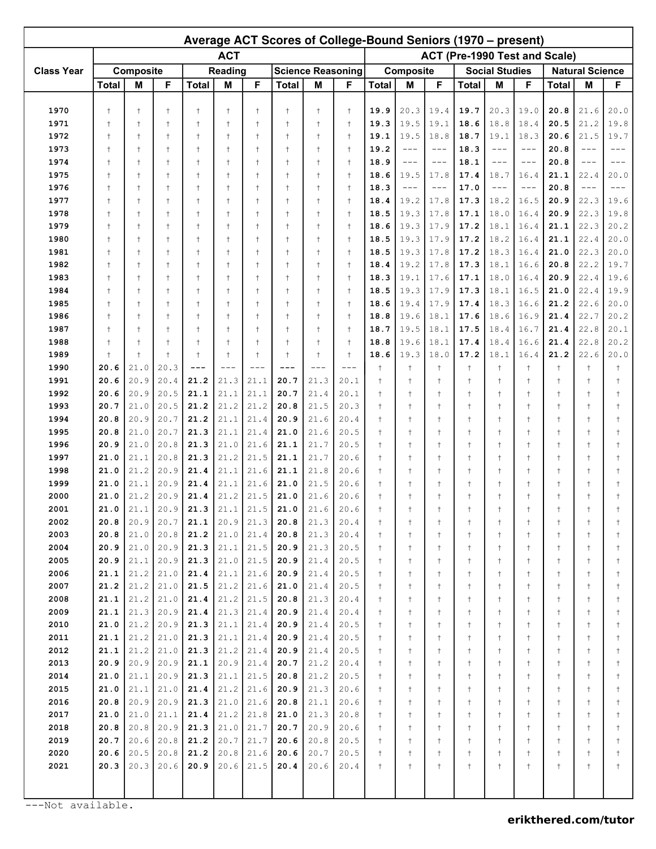| ACT (Pre-1990 Test and Scale)<br><b>ACT</b><br>Composite<br><b>Science Reasoning</b><br><b>Class Year</b><br>Composite<br><b>Social Studies</b><br><b>Reading</b><br><b>Natural Science</b><br>F<br>F<br>F<br><b>Total</b><br>M<br><b>Total</b><br>M<br><b>Total</b><br>M<br>M<br>F<br>M<br>F<br><b>Total</b><br>М<br><b>Total</b><br><b>Total</b><br>F<br>1970<br>$\ddagger$<br>$\ddagger$<br>19.9<br>20.3<br>19.4<br>19.7<br>20.3<br>19.0<br>20.8<br>21.6<br>20.0<br>$\ddagger$<br>$\ddagger$<br>$\ddagger$<br>$\ddagger$<br>$\ddagger$<br>$\ddagger$<br>$\ddagger$<br>18.8<br>1971<br>$\ddagger$<br>19.3<br>19.5<br>19.1<br>18.6<br>18.4<br>20.5<br>21.2<br>19.8<br>$\ddagger$<br>$\ddagger$<br>$\ddagger$<br>$\ddagger$<br>$\ddagger$<br>$\ddagger$<br>$\ddagger$<br>$\ddagger$<br>19.7<br>1972<br>19.5<br>18.7<br>19.1<br>18.3<br>20.6<br>21.5<br>$\ddagger$<br>$\ddagger$<br>$\ddagger$<br>$\ddagger$<br>$\ddagger$<br>$\ddagger$<br>$\ddagger$<br>$\ddagger$<br>$\ddagger$<br>19.1<br>18.8<br>1973<br>$\ddagger$<br>19.2<br>18.3<br>$\ddagger$<br>$\ddagger$<br>$\ddagger$<br>$\ddagger$<br>$\ddagger$<br>$\ddagger$<br>$\ddagger$<br>$\ddagger$<br>$---$<br>$---$<br>20.8<br>$---$<br>$---$<br>$- - -$<br>$- - -$<br>1974<br>18.1<br>$\ddagger$<br>$\ddagger$<br>$\ddagger$<br>$\ddagger$<br>$\ddagger$<br>$\ddagger$<br>$\ddagger$<br>$\ddagger$<br>$\ddagger$<br>18.9<br>20.8<br>$---$<br>$\qquad \qquad - -$<br>$---$<br>$---$<br>$- - -$<br>$---$<br>1975<br>19.5<br>17.4<br>18.7<br>16.4<br>21.1<br>22.4<br>20.0<br>$\ddagger$<br>$\ddagger$<br>$\ddagger$<br>$\ddagger$<br>$\ddagger$<br>$\ddagger$<br>$\ddagger$<br>$\ddagger$<br>$\ddagger$<br>18.6<br>17.8<br>1976<br>18.3<br>17.0<br>20.8<br>$\ddagger$<br>$\ddagger$<br>$\ddagger$<br>$\ddagger$<br>$\ddagger$<br>$\ddagger$<br>$\ddagger$<br>$\ddagger$<br>$\ddagger$<br>$---$<br>$---$<br>$---$<br>$---$<br>$\qquad \qquad - -$<br>$\qquad \qquad - -$<br>1977<br>19.2<br>17.3<br>18.2<br>16.5<br>20.9<br>22.3<br>19.6<br>$\ddagger$<br>$\ddagger$<br>$\ddagger$<br>$\ddagger$<br>$\ddagger$<br>$\ddagger$<br>$\ddagger$<br>$\ddagger$<br>$\ddagger$<br>18.4<br>17.8<br>1978<br>$\ddagger$<br>19.3<br>17.8<br>17.1<br>18.0<br>16.4<br>20.9<br>22.3<br>19.8<br>$\ddagger$<br>$\ddagger$<br>$\ddagger$<br>$\ddagger$<br>$\ddagger$<br>$\ddagger$<br>$\ddagger$<br>$\ddagger$<br>18.5<br>20.2<br>1979<br>19.3<br>17.9<br>17.2<br>18.1<br>16.4<br>21.1<br>22.3<br>$\ddagger$<br>$\ddagger$<br>$\ddagger$<br>$\ddagger$<br>$\ddagger$<br>$\ddagger$<br>$\ddagger$<br>$\ddagger$<br>$\ddagger$<br>18.6<br>1980<br>19.3<br>17.9<br>17.2<br>18.2<br>16.4<br>21.1<br>22.4<br>20.0<br>$\ddagger$<br>$\ddagger$<br>$\ddagger$<br>$\ddagger$<br>$\ddagger$<br>$\ddagger$<br>$\ddagger$<br>$\ddagger$<br>18.5<br>$\ddagger$<br>1981<br>19.3<br>17.8<br>17.2<br>18.3<br>16.4<br>21.0<br>22.3<br>20.0<br>$\ddagger$<br>$\ddagger$<br>$\ddagger$<br>$\ddagger$<br>$\ddagger$<br>$\ddagger$<br>$\ddagger$<br>$\ddagger$<br>$\ddagger$<br>18.5<br>19.7<br>1982<br>$\ddagger$<br>19.2<br>17.8<br>17.3<br>18.1<br>16.6<br>20.8<br>22.2<br>$\ddagger$<br>$\ddagger$<br>$\ddagger$<br>$\ddagger$<br>$\ddagger$<br>$\ddagger$<br>$\ddagger$<br>$\ddagger$<br>18.4<br>1983<br>19.1<br>17.6<br>17.1<br>18.0<br>16.4<br>20.9<br>22.4<br>19.6<br>$\ddagger$<br>$\ddagger$<br>$\ddagger$<br>$\ddagger$<br>$\ddagger$<br>$\ddagger$<br>$\ddagger$<br>$\ddagger$<br>$\ddagger$<br>18.3<br>1984<br>19.3<br>17.9<br>17.3<br>18.1<br>16.5<br>21.0<br>22.4<br>19.9<br>$\ddagger$<br>$\ddagger$<br>$\ddagger$<br>$\ddagger$<br>$\ddagger$<br>$\ddagger$<br>$\ddagger$<br>$\ddagger$<br>$\ddagger$<br>18.5<br>1985<br>19.4<br>17.9<br>17.4<br>18.3<br>16.6<br>21.2<br>22.6<br>20.0<br>$\ddagger$<br>$\ddagger$<br>$\ddagger$<br>$\ddagger$<br>$\ddagger$<br>$\ddagger$<br>$\ddagger$<br>$\ddagger$<br>18.6<br>$\ddagger$<br>20.2<br>1986<br>$\ddagger$<br>19.6<br>18.1<br>17.6<br>18.6<br>16.9<br>21.4<br>22.7<br>$\ddagger$<br>$\ddagger$<br>$\ddagger$<br>$\ddagger$<br>$\ddagger$<br>$\ddagger$<br>$\ddagger$<br>$\ddagger$<br>18.8<br>1987<br>$\ddagger$<br>18.7<br>19.5<br>18.1<br>17.5<br>18.4<br>16.7<br>21.4<br>22.8<br>20.1<br>$\ddagger$<br>$\ddagger$<br>$\ddagger$<br>$\ddagger$<br>$\ddagger$<br>$\ddagger$<br>$\ddagger$<br>$\ddagger$<br>20.2<br>1988<br>$\ddagger$<br>19.6<br>18.1<br>17.4<br>18.4<br>16.6<br>21.4<br>22.8<br>$\ddagger$<br>$\ddagger$<br>$\ddagger$<br>$\ddagger$<br>$\ddagger$<br>$\ddagger$<br>$\ddagger$<br>$\ddagger$<br>18.8<br>1989<br>$\ddagger$<br>19.3<br>18.0<br>17.2<br>18.1<br>16.4<br>21.2<br>22.6<br>20.0<br>$\ddagger$<br>$\ddagger$<br>$\ddagger$<br>$\ddagger$<br>$\ddagger$<br>$\ddagger$<br>$\ddagger$<br>$\ddagger$<br>18.6<br>1990<br>20.6<br>21.0<br>20.3<br>$\ddagger$<br>$\ddagger$<br>$\ddagger$<br>$\ddagger$<br>$\ddagger$<br>$\ddagger$<br>$\ddagger$<br>$\ddagger$<br>$- - -$<br>$---$<br>$---$<br>$---$<br>$- - -$<br>$\frac{1}{2}$<br>1991<br>20.6<br>20.9<br>20.4<br>21.2<br>21.3<br>21.1<br>20.7<br>21.3<br>20.1<br>$\ddagger$<br>$\ddagger$<br>$\ddagger$<br>$\ddagger$<br>$\ddagger$<br>$\ddagger$<br>$\ddagger$<br>$\ddagger$<br>1992<br>20.9<br>20.5<br>21.1<br>21.1<br>20.7<br>21.4<br>20.1<br>20.6<br>21.1<br>$\ddagger$<br>$\ddagger$<br>$\ddagger$<br>$\ddagger$<br>$\ddagger$<br>$\ddagger$<br>$\ddagger$<br>$\ddagger$<br>1993<br>21.0<br>20.5<br>21.2<br>21.2<br>21.2<br>20.8<br>21.5<br>20.3<br>20.7<br>$\ddagger$<br>$\ddagger$<br>$\ddagger$<br>$\ddagger$<br>$\ddagger$<br>$\ddagger$<br>$\ddagger$<br>$\ddagger$<br>1994<br>20.9<br>20.7<br>21.2<br>21.1<br>21.4<br>20.9<br>21.6<br>20.4<br>20.8<br>$\ddagger$<br>$\ddagger$<br>$\ddagger$<br>$\ddagger$<br>$\ddagger$<br>$\ddagger$<br>$\ddagger$<br>$\ddagger$<br>1995<br>21.0<br>20.7<br>21.3<br>21.1<br>21.4<br>21.6<br>20.5<br>20.8<br>21.0<br>$\ddagger$<br>$\ddagger$<br>$\ddagger$<br>$\ddagger$<br>$\ddagger$<br>$\ddagger$<br>$\ddagger$<br>1996<br>21.0<br>20.8<br>21.3<br>21.0<br>21.6<br>21.1<br>21.7<br>20.5<br>20.9<br>$\ddagger$<br>$\ddagger$<br>$\ddagger$<br>$\ddagger$<br>$\ddagger$<br>$\ddagger$<br>$\ddagger$<br>1997<br>21.1<br>20.8<br>21.3<br>21.2<br>21.5<br>21.1<br>21.0<br>21.7<br>20.6<br>$\ddagger$<br>$\ddagger$<br>$\ddagger$<br>$\ddagger$<br>$\ddagger$<br>$\ddagger$<br>$\ddagger$<br>$\ddagger$<br>1998<br>21.2<br>20.9<br>21.1<br>21.6<br>21.1<br>21.0<br>21.4<br>21.8<br>20.6<br>$\ddagger$<br>$\ddagger$<br>$\ddagger$<br>$\ddagger$<br>$\ddagger$<br>$\ddagger$<br>$\ddagger$<br>$\ddagger$<br>1999<br>20.9<br>21.6<br>21.0<br>21.1<br>21.4<br>21.1<br>21.0<br>21.5<br>20.6<br>$\ddagger$<br>$\ddagger$<br>$\ddagger$<br>$\ddagger$<br>$\ddagger$<br>$\ddagger$<br>2000<br>21.2<br>20.9<br>21.5<br>21.0<br>21.4<br>21.2<br>21.0<br>21.6<br>20.6<br>$\ddagger$<br>$\ddagger$<br>$\ddagger$<br>$\ddagger$<br>$\ddagger$<br>$\ddagger$<br>2001<br>21.0<br>21.1<br>20.9<br>21.3<br>21.1<br>21.5<br>21.0<br>21.6<br>20.6<br>$^\dagger$<br>$\ddagger$<br>$^\dagger$<br>$^\dagger$<br>$^\dagger$<br>$^{+}$<br>Ť<br>Ť<br>2002<br>20.8<br>20.9<br>20.7<br>21.1<br>21.3<br>20.4<br>$^\mathrm{+}$<br>20.9<br>20.8<br>21.3<br>$^\dagger$<br>$\ddagger$<br>$^\dagger$<br>$\ddagger$<br>$^\dagger$<br>$^\dagger$<br>$^\dagger$<br>2003<br>20.8<br>21.0<br>20.8<br>21.2<br>21.0<br>21.4<br>20.8<br>21.3<br>20.4<br>$^\dagger$<br>$\ddagger$<br>$^\dagger$<br>$^\dagger$<br>$^\dagger$<br>$\ddagger$<br>$\ddagger$<br>$\ddagger$<br>$^{\dagger}$<br>2004<br>20.9<br>21.0<br>20.9<br>21.5<br>20.9<br>21.3<br>$^\mathrm{+}$<br>21.3<br>21.1<br>20.5<br>$^\dagger$<br>$^\dagger$<br>$\ddagger$<br>$^\dagger$<br>$\ddagger$<br>$\ddagger$<br>$\ddagger$<br>$^{\dagger}$<br>2005<br>20.9<br>21.1<br>20.9<br>21.5<br>$^\mathrm{+}$<br>21.3<br>21.0<br>20.9<br>21.4<br>20.5<br>$^\dagger$<br>$^\dagger$<br>$\ddagger$<br>$^\dagger$<br>$\ddagger$<br>$\ddagger$<br>$\ddagger$<br>$^+$<br>2006<br>21.2<br>21.0<br>20.9<br>$^\mathrm{+}$<br>21.1<br>21.4<br>21.1<br>21.6<br>21.4<br>20.5<br>$^\dagger$<br>$^\dagger$<br>$\ddagger$<br>$^\dagger$<br>$\ddagger$<br>$\ddagger$<br>$\ddagger$<br>$^+$<br>2007<br>21.2<br>21.2<br>21.0<br>21.5<br>21.2<br>$^\mathrm{+}$<br>21.6<br>21.0<br>21.4<br>20.5<br>$^\dagger$<br>$^\dagger$<br>$\ddagger$<br>$^\dagger$<br>$\ddagger$<br>$\ddagger$<br>$\ddagger$<br>$^+$<br>2008<br>21.2<br>21.0<br>21.5<br>20.8<br>$^\mathrm{+}$<br>21.1<br>21.4<br>21.2<br>21.3<br>20.4<br>$^\dagger$<br>$^\dagger$<br>$\ddagger$<br>$^\dagger$<br>$\ddagger$<br>$\ddagger$<br>$\ddagger$<br>$\ddagger$<br>2009<br>21.3<br>20.9<br>$^\mathrm{+}$<br>21.1<br>21.4<br>21.3<br>21.4<br>20.9<br>21.4<br>20.4<br>$^\dagger$<br>$^\dagger$<br>$\ddagger$<br>$^\dagger$<br>$\ddagger$<br>$\ddagger$<br>$\ddagger$<br>$\ddagger$<br>2010<br>21.0<br>21.2<br>20.9<br>21.3<br>$^\mathrm{+}$<br>21.1<br>21.4<br>20.9<br>21.4<br>20.5<br>$^\dagger$<br>$^\dagger$<br>$\ddagger$<br>$^\dagger$<br>$\ddagger$<br>$\ddagger$<br>$\ddagger$<br>$^+$<br>2011<br>21.2<br>21.0<br>21.4<br>$^\mathrm{+}$<br>21.1<br>21.3<br>21.1<br>20.9<br>21.4<br>20.5<br>$^\dagger$<br>$^\dagger$<br>$\ddagger$<br>$^\dagger$<br>$\ddagger$<br>$\ddagger$<br>$\ddagger$<br>$^{\dagger}$<br>2012<br>21.2<br>21.0<br>$^\mathrm{+}$<br>21.1<br>21.3<br>21.2<br>21.4<br>20.9<br>21.4<br>20.5<br>$^\dagger$<br>$^\dagger$<br>$\ddagger$<br>$^\dagger$<br>$\ddagger$<br>$\ddagger$<br>$\ddagger$<br>$\ddagger$<br>2013<br>20.9<br>20.9<br>20.9<br>20.9<br>21.2<br>$^\mathrm{+}$<br>21.1<br>21.4<br>20.7<br>20.4<br>$^\dagger$<br>$^\dagger$<br>$\ddagger$<br>$^\dagger$<br>$\ddagger$<br>$\ddagger$<br>$\ddagger$<br>$\ddagger$<br>2014<br>21.1<br>20.9<br>21.3<br>21.5<br>21.2<br>$^\mathrm{+}$<br>21.0<br>21.1<br>20.8<br>20.5<br>$^\dagger$<br>$^\dagger$<br>$\ddagger$<br>$^\dagger$<br>$\ddagger$<br>$\ddagger$<br>$\ddagger$<br>$\ddagger$<br>2015<br>21.0<br>21.1<br>21.0<br>21.3<br>$^\mathrm{+}$<br>21.4<br>21.2<br>21.6<br>20.9<br>20.6<br>$^\dagger$<br>$^\dagger$<br>$\ddagger$<br>$^\dagger$<br>$\ddagger$<br>$\ddagger$<br>$\ddagger$<br>$^+$<br>2016<br>20.8<br>20.9<br>20.9<br>21.3<br>$^\mathrm{+}$<br>21.0<br>21.6<br>20.8<br>21.1<br>20.6<br>$^\dagger$<br>$^\dagger$<br>$\ddagger$<br>$^\dagger$<br>$\ddagger$<br>$\ddagger$<br>$\ddagger$<br>$^+$<br>2017<br>21.1<br>21.2<br>$^\mathrm{+}$<br>21.0<br>21.0<br>21.4<br>21.8<br>21.0<br>21.3<br>20.8<br>$^\dagger$<br>$\ddagger$<br>$^\dagger$<br>$\ddagger$<br>$^\dagger$<br>$\ddagger$<br>$\ddagger$<br>$\ddagger$<br>2018<br>20.8<br>20.8<br>20.9<br>21.3<br>20.7<br>20.9<br>$^\mathrm{+}$<br>21.0<br>21.7<br>20.6<br>$^\dagger$<br>$^\dagger$<br>$\ddagger$<br>$^\dagger$<br>$\ddagger$<br>$\ddagger$<br>$\ddagger$<br>$^+$<br>2019<br>20.7<br>20.6<br>20.8<br>21.2<br>20.7<br>$^\mathrm{+}$<br>21.7<br>20.6<br>20.8<br>20.5<br>$^\dagger$<br>$^\dagger$<br>$\ddagger$<br>$^\dagger$<br>$^\dagger$<br>$\ddagger$<br>$\ddagger$<br>$^{\dagger}$<br>2020<br>20.6<br>20.5<br>20.8<br>21.2<br>20.8<br>20.6<br>20.5<br>$^\mathrm{+}$<br>21.6<br>20.7<br>$^\dagger$<br>$\ddagger$<br>$\ddagger$<br>$^\dagger$<br>$^\dagger$<br>$\ddagger$<br>$\ddagger$<br>$^{\dagger}$<br>2021<br>20.3<br>20.6<br>20.9<br>20.6<br>21.5<br>$^\mathrm{+}$<br>20.3<br>20.4<br>20.6<br>20.4<br>$^\dagger$<br>$^\dagger$<br>$^{+}$<br>$^\dagger$<br>$^\dagger$<br>$\ddagger$<br>$^\dagger$<br>$^+$ | Average ACT Scores of College-Bound Seniors (1970 – present) |  |  |  |  |  |  |  |  |  |  |  |  |  |  |  |  |  |  |  |
|--------------------------------------------------------------------------------------------------------------------------------------------------------------------------------------------------------------------------------------------------------------------------------------------------------------------------------------------------------------------------------------------------------------------------------------------------------------------------------------------------------------------------------------------------------------------------------------------------------------------------------------------------------------------------------------------------------------------------------------------------------------------------------------------------------------------------------------------------------------------------------------------------------------------------------------------------------------------------------------------------------------------------------------------------------------------------------------------------------------------------------------------------------------------------------------------------------------------------------------------------------------------------------------------------------------------------------------------------------------------------------------------------------------------------------------------------------------------------------------------------------------------------------------------------------------------------------------------------------------------------------------------------------------------------------------------------------------------------------------------------------------------------------------------------------------------------------------------------------------------------------------------------------------------------------------------------------------------------------------------------------------------------------------------------------------------------------------------------------------------------------------------------------------------------------------------------------------------------------------------------------------------------------------------------------------------------------------------------------------------------------------------------------------------------------------------------------------------------------------------------------------------------------------------------------------------------------------------------------------------------------------------------------------------------------------------------------------------------------------------------------------------------------------------------------------------------------------------------------------------------------------------------------------------------------------------------------------------------------------------------------------------------------------------------------------------------------------------------------------------------------------------------------------------------------------------------------------------------------------------------------------------------------------------------------------------------------------------------------------------------------------------------------------------------------------------------------------------------------------------------------------------------------------------------------------------------------------------------------------------------------------------------------------------------------------------------------------------------------------------------------------------------------------------------------------------------------------------------------------------------------------------------------------------------------------------------------------------------------------------------------------------------------------------------------------------------------------------------------------------------------------------------------------------------------------------------------------------------------------------------------------------------------------------------------------------------------------------------------------------------------------------------------------------------------------------------------------------------------------------------------------------------------------------------------------------------------------------------------------------------------------------------------------------------------------------------------------------------------------------------------------------------------------------------------------------------------------------------------------------------------------------------------------------------------------------------------------------------------------------------------------------------------------------------------------------------------------------------------------------------------------------------------------------------------------------------------------------------------------------------------------------------------------------------------------------------------------------------------------------------------------------------------------------------------------------------------------------------------------------------------------------------------------------------------------------------------------------------------------------------------------------------------------------------------------------------------------------------------------------------------------------------------------------------------------------------------------------------------------------------------------------------------------------------------------------------------------------------------------------------------------------------------------------------------------------------------------------------------------------------------------------------------------------------------------------------------------------------------------------------------------------------------------------------------------------------------------------------------------------------------------------------------------------------------------------------------------------------------------------------------------------------------------------------------------------------------------------------------------------------------------------------------------------------------------------------------------------------------------------------------------------------------------------------------------------------------------------------------------------------------------------------------------------------------------------------------------------------------------------------------------------------------------------------------------------------------------------------------------------------------------------------------------------------------------------------------------------------------------------------------------------------------------------------------------------------------------------------------------------------------------------------------------------------------------------------------------------------------------------------------------------------------------------------------------------------------------------------------------------------------------------------------------------------------------------------------------------------------------------------------------------------------------------------------------------------------------------------------------------------------------------------------------------------------------------------------------------------------------------------------------------------------------------------------------------------------------------------------------------------------------------------------------------------------------------------------------------------------------------------------------------------------------------------------------------------------------------------------------------------------------------------------------------------------------------------------------------------------------------------------------------------------------------------------------------------------------------------------------------------------------------------------------------------------------------------------------------------------------------------------------------------------------------------------------------------------------------------------------------------------------------------------------------------------------------------------------------------------------------------------------------------------------------------------------------------------------------------------------------------------------------------------------------------------------------------------------------------------------------------------------------------------------------------------------------------------------------------------------------------------------------------------------------------------------------------------------------------------------------------------------------------------------------------------------------------------------------------------------------------------------------------------------------------------------------------------------------------------------------------------------------------------------------------------------------------------------------------------------------------------------------------------------------------------------------------------------------------------------------------------------------------------------------------------------------------------------------------------------------------------------------------------------------------------------------------------------------------------------------------------------------------------------------------------------------------------------------------------------------------------------------------------------------------------------------------------------------------------------------------------------------------------------------------------------------------------------------------------------------------------------------------------------------------------------------------------------------------------------------------------------------------------------------------------------------------------------------------------------------------------------------------------------------------------------------------------------------------------------------------------------------------------------------------------------------------------------------------------------------------------------------------------------------------------------------------------------------------------------------------------------------------------------------------------------------|--------------------------------------------------------------|--|--|--|--|--|--|--|--|--|--|--|--|--|--|--|--|--|--|--|
|                                                                                                                                                                                                                                                                                                                                                                                                                                                                                                                                                                                                                                                                                                                                                                                                                                                                                                                                                                                                                                                                                                                                                                                                                                                                                                                                                                                                                                                                                                                                                                                                                                                                                                                                                                                                                                                                                                                                                                                                                                                                                                                                                                                                                                                                                                                                                                                                                                                                                                                                                                                                                                                                                                                                                                                                                                                                                                                                                                                                                                                                                                                                                                                                                                                                                                                                                                                                                                                                                                                                                                                                                                                                                                                                                                                                                                                                                                                                                                                                                                                                                                                                                                                                                                                                                                                                                                                                                                                                                                                                                                                                                                                                                                                                                                                                                                                                                                                                                                                                                                                                                                                                                                                                                                                                                                                                                                                                                                                                                                                                                                                                                                                                                                                                                                                                                                                                                                                                                                                                                                                                                                                                                                                                                                                                                                                                                                                                                                                                                                                                                                                                                                                                                                                                                                                                                                                                                                                                                                                                                                                                                                                                                                                                                                                                                                                                                                                                                                                                                                                                                                                                                                                                                                                                                                                                                                                                                                                                                                                                                                                                                                                                                                                                                                                                                                                                                                                                                                                                                                                                                                                                                                                                                                                                                                                                                                                                                                                                                                                                                                                                                                                                                                                                                                                                                                                                                                                                                                                                                                                                                                                                                                                                                                                                                                                                                                                                                                                                                                                                                                                                                                                                                                                                                                                                                                                                                                                                                                                                                                                                                                                                                                                                                                                                                                                                                                                                                                                                                                                                                                                                                                                                                                                                                                                                                                                    |                                                              |  |  |  |  |  |  |  |  |  |  |  |  |  |  |  |  |  |  |  |
|                                                                                                                                                                                                                                                                                                                                                                                                                                                                                                                                                                                                                                                                                                                                                                                                                                                                                                                                                                                                                                                                                                                                                                                                                                                                                                                                                                                                                                                                                                                                                                                                                                                                                                                                                                                                                                                                                                                                                                                                                                                                                                                                                                                                                                                                                                                                                                                                                                                                                                                                                                                                                                                                                                                                                                                                                                                                                                                                                                                                                                                                                                                                                                                                                                                                                                                                                                                                                                                                                                                                                                                                                                                                                                                                                                                                                                                                                                                                                                                                                                                                                                                                                                                                                                                                                                                                                                                                                                                                                                                                                                                                                                                                                                                                                                                                                                                                                                                                                                                                                                                                                                                                                                                                                                                                                                                                                                                                                                                                                                                                                                                                                                                                                                                                                                                                                                                                                                                                                                                                                                                                                                                                                                                                                                                                                                                                                                                                                                                                                                                                                                                                                                                                                                                                                                                                                                                                                                                                                                                                                                                                                                                                                                                                                                                                                                                                                                                                                                                                                                                                                                                                                                                                                                                                                                                                                                                                                                                                                                                                                                                                                                                                                                                                                                                                                                                                                                                                                                                                                                                                                                                                                                                                                                                                                                                                                                                                                                                                                                                                                                                                                                                                                                                                                                                                                                                                                                                                                                                                                                                                                                                                                                                                                                                                                                                                                                                                                                                                                                                                                                                                                                                                                                                                                                                                                                                                                                                                                                                                                                                                                                                                                                                                                                                                                                                                                                                                                                                                                                                                                                                                                                                                                                                                                                                                                                                    |                                                              |  |  |  |  |  |  |  |  |  |  |  |  |  |  |  |  |  |  |  |
|                                                                                                                                                                                                                                                                                                                                                                                                                                                                                                                                                                                                                                                                                                                                                                                                                                                                                                                                                                                                                                                                                                                                                                                                                                                                                                                                                                                                                                                                                                                                                                                                                                                                                                                                                                                                                                                                                                                                                                                                                                                                                                                                                                                                                                                                                                                                                                                                                                                                                                                                                                                                                                                                                                                                                                                                                                                                                                                                                                                                                                                                                                                                                                                                                                                                                                                                                                                                                                                                                                                                                                                                                                                                                                                                                                                                                                                                                                                                                                                                                                                                                                                                                                                                                                                                                                                                                                                                                                                                                                                                                                                                                                                                                                                                                                                                                                                                                                                                                                                                                                                                                                                                                                                                                                                                                                                                                                                                                                                                                                                                                                                                                                                                                                                                                                                                                                                                                                                                                                                                                                                                                                                                                                                                                                                                                                                                                                                                                                                                                                                                                                                                                                                                                                                                                                                                                                                                                                                                                                                                                                                                                                                                                                                                                                                                                                                                                                                                                                                                                                                                                                                                                                                                                                                                                                                                                                                                                                                                                                                                                                                                                                                                                                                                                                                                                                                                                                                                                                                                                                                                                                                                                                                                                                                                                                                                                                                                                                                                                                                                                                                                                                                                                                                                                                                                                                                                                                                                                                                                                                                                                                                                                                                                                                                                                                                                                                                                                                                                                                                                                                                                                                                                                                                                                                                                                                                                                                                                                                                                                                                                                                                                                                                                                                                                                                                                                                                                                                                                                                                                                                                                                                                                                                                                                                                                                                                    |                                                              |  |  |  |  |  |  |  |  |  |  |  |  |  |  |  |  |  |  |  |
|                                                                                                                                                                                                                                                                                                                                                                                                                                                                                                                                                                                                                                                                                                                                                                                                                                                                                                                                                                                                                                                                                                                                                                                                                                                                                                                                                                                                                                                                                                                                                                                                                                                                                                                                                                                                                                                                                                                                                                                                                                                                                                                                                                                                                                                                                                                                                                                                                                                                                                                                                                                                                                                                                                                                                                                                                                                                                                                                                                                                                                                                                                                                                                                                                                                                                                                                                                                                                                                                                                                                                                                                                                                                                                                                                                                                                                                                                                                                                                                                                                                                                                                                                                                                                                                                                                                                                                                                                                                                                                                                                                                                                                                                                                                                                                                                                                                                                                                                                                                                                                                                                                                                                                                                                                                                                                                                                                                                                                                                                                                                                                                                                                                                                                                                                                                                                                                                                                                                                                                                                                                                                                                                                                                                                                                                                                                                                                                                                                                                                                                                                                                                                                                                                                                                                                                                                                                                                                                                                                                                                                                                                                                                                                                                                                                                                                                                                                                                                                                                                                                                                                                                                                                                                                                                                                                                                                                                                                                                                                                                                                                                                                                                                                                                                                                                                                                                                                                                                                                                                                                                                                                                                                                                                                                                                                                                                                                                                                                                                                                                                                                                                                                                                                                                                                                                                                                                                                                                                                                                                                                                                                                                                                                                                                                                                                                                                                                                                                                                                                                                                                                                                                                                                                                                                                                                                                                                                                                                                                                                                                                                                                                                                                                                                                                                                                                                                                                                                                                                                                                                                                                                                                                                                                                                                                                                                                                    |                                                              |  |  |  |  |  |  |  |  |  |  |  |  |  |  |  |  |  |  |  |
|                                                                                                                                                                                                                                                                                                                                                                                                                                                                                                                                                                                                                                                                                                                                                                                                                                                                                                                                                                                                                                                                                                                                                                                                                                                                                                                                                                                                                                                                                                                                                                                                                                                                                                                                                                                                                                                                                                                                                                                                                                                                                                                                                                                                                                                                                                                                                                                                                                                                                                                                                                                                                                                                                                                                                                                                                                                                                                                                                                                                                                                                                                                                                                                                                                                                                                                                                                                                                                                                                                                                                                                                                                                                                                                                                                                                                                                                                                                                                                                                                                                                                                                                                                                                                                                                                                                                                                                                                                                                                                                                                                                                                                                                                                                                                                                                                                                                                                                                                                                                                                                                                                                                                                                                                                                                                                                                                                                                                                                                                                                                                                                                                                                                                                                                                                                                                                                                                                                                                                                                                                                                                                                                                                                                                                                                                                                                                                                                                                                                                                                                                                                                                                                                                                                                                                                                                                                                                                                                                                                                                                                                                                                                                                                                                                                                                                                                                                                                                                                                                                                                                                                                                                                                                                                                                                                                                                                                                                                                                                                                                                                                                                                                                                                                                                                                                                                                                                                                                                                                                                                                                                                                                                                                                                                                                                                                                                                                                                                                                                                                                                                                                                                                                                                                                                                                                                                                                                                                                                                                                                                                                                                                                                                                                                                                                                                                                                                                                                                                                                                                                                                                                                                                                                                                                                                                                                                                                                                                                                                                                                                                                                                                                                                                                                                                                                                                                                                                                                                                                                                                                                                                                                                                                                                                                                                                                                                    |                                                              |  |  |  |  |  |  |  |  |  |  |  |  |  |  |  |  |  |  |  |
|                                                                                                                                                                                                                                                                                                                                                                                                                                                                                                                                                                                                                                                                                                                                                                                                                                                                                                                                                                                                                                                                                                                                                                                                                                                                                                                                                                                                                                                                                                                                                                                                                                                                                                                                                                                                                                                                                                                                                                                                                                                                                                                                                                                                                                                                                                                                                                                                                                                                                                                                                                                                                                                                                                                                                                                                                                                                                                                                                                                                                                                                                                                                                                                                                                                                                                                                                                                                                                                                                                                                                                                                                                                                                                                                                                                                                                                                                                                                                                                                                                                                                                                                                                                                                                                                                                                                                                                                                                                                                                                                                                                                                                                                                                                                                                                                                                                                                                                                                                                                                                                                                                                                                                                                                                                                                                                                                                                                                                                                                                                                                                                                                                                                                                                                                                                                                                                                                                                                                                                                                                                                                                                                                                                                                                                                                                                                                                                                                                                                                                                                                                                                                                                                                                                                                                                                                                                                                                                                                                                                                                                                                                                                                                                                                                                                                                                                                                                                                                                                                                                                                                                                                                                                                                                                                                                                                                                                                                                                                                                                                                                                                                                                                                                                                                                                                                                                                                                                                                                                                                                                                                                                                                                                                                                                                                                                                                                                                                                                                                                                                                                                                                                                                                                                                                                                                                                                                                                                                                                                                                                                                                                                                                                                                                                                                                                                                                                                                                                                                                                                                                                                                                                                                                                                                                                                                                                                                                                                                                                                                                                                                                                                                                                                                                                                                                                                                                                                                                                                                                                                                                                                                                                                                                                                                                                                                                                    |                                                              |  |  |  |  |  |  |  |  |  |  |  |  |  |  |  |  |  |  |  |
|                                                                                                                                                                                                                                                                                                                                                                                                                                                                                                                                                                                                                                                                                                                                                                                                                                                                                                                                                                                                                                                                                                                                                                                                                                                                                                                                                                                                                                                                                                                                                                                                                                                                                                                                                                                                                                                                                                                                                                                                                                                                                                                                                                                                                                                                                                                                                                                                                                                                                                                                                                                                                                                                                                                                                                                                                                                                                                                                                                                                                                                                                                                                                                                                                                                                                                                                                                                                                                                                                                                                                                                                                                                                                                                                                                                                                                                                                                                                                                                                                                                                                                                                                                                                                                                                                                                                                                                                                                                                                                                                                                                                                                                                                                                                                                                                                                                                                                                                                                                                                                                                                                                                                                                                                                                                                                                                                                                                                                                                                                                                                                                                                                                                                                                                                                                                                                                                                                                                                                                                                                                                                                                                                                                                                                                                                                                                                                                                                                                                                                                                                                                                                                                                                                                                                                                                                                                                                                                                                                                                                                                                                                                                                                                                                                                                                                                                                                                                                                                                                                                                                                                                                                                                                                                                                                                                                                                                                                                                                                                                                                                                                                                                                                                                                                                                                                                                                                                                                                                                                                                                                                                                                                                                                                                                                                                                                                                                                                                                                                                                                                                                                                                                                                                                                                                                                                                                                                                                                                                                                                                                                                                                                                                                                                                                                                                                                                                                                                                                                                                                                                                                                                                                                                                                                                                                                                                                                                                                                                                                                                                                                                                                                                                                                                                                                                                                                                                                                                                                                                                                                                                                                                                                                                                                                                                                                                                    |                                                              |  |  |  |  |  |  |  |  |  |  |  |  |  |  |  |  |  |  |  |
|                                                                                                                                                                                                                                                                                                                                                                                                                                                                                                                                                                                                                                                                                                                                                                                                                                                                                                                                                                                                                                                                                                                                                                                                                                                                                                                                                                                                                                                                                                                                                                                                                                                                                                                                                                                                                                                                                                                                                                                                                                                                                                                                                                                                                                                                                                                                                                                                                                                                                                                                                                                                                                                                                                                                                                                                                                                                                                                                                                                                                                                                                                                                                                                                                                                                                                                                                                                                                                                                                                                                                                                                                                                                                                                                                                                                                                                                                                                                                                                                                                                                                                                                                                                                                                                                                                                                                                                                                                                                                                                                                                                                                                                                                                                                                                                                                                                                                                                                                                                                                                                                                                                                                                                                                                                                                                                                                                                                                                                                                                                                                                                                                                                                                                                                                                                                                                                                                                                                                                                                                                                                                                                                                                                                                                                                                                                                                                                                                                                                                                                                                                                                                                                                                                                                                                                                                                                                                                                                                                                                                                                                                                                                                                                                                                                                                                                                                                                                                                                                                                                                                                                                                                                                                                                                                                                                                                                                                                                                                                                                                                                                                                                                                                                                                                                                                                                                                                                                                                                                                                                                                                                                                                                                                                                                                                                                                                                                                                                                                                                                                                                                                                                                                                                                                                                                                                                                                                                                                                                                                                                                                                                                                                                                                                                                                                                                                                                                                                                                                                                                                                                                                                                                                                                                                                                                                                                                                                                                                                                                                                                                                                                                                                                                                                                                                                                                                                                                                                                                                                                                                                                                                                                                                                                                                                                                                                                    |                                                              |  |  |  |  |  |  |  |  |  |  |  |  |  |  |  |  |  |  |  |
|                                                                                                                                                                                                                                                                                                                                                                                                                                                                                                                                                                                                                                                                                                                                                                                                                                                                                                                                                                                                                                                                                                                                                                                                                                                                                                                                                                                                                                                                                                                                                                                                                                                                                                                                                                                                                                                                                                                                                                                                                                                                                                                                                                                                                                                                                                                                                                                                                                                                                                                                                                                                                                                                                                                                                                                                                                                                                                                                                                                                                                                                                                                                                                                                                                                                                                                                                                                                                                                                                                                                                                                                                                                                                                                                                                                                                                                                                                                                                                                                                                                                                                                                                                                                                                                                                                                                                                                                                                                                                                                                                                                                                                                                                                                                                                                                                                                                                                                                                                                                                                                                                                                                                                                                                                                                                                                                                                                                                                                                                                                                                                                                                                                                                                                                                                                                                                                                                                                                                                                                                                                                                                                                                                                                                                                                                                                                                                                                                                                                                                                                                                                                                                                                                                                                                                                                                                                                                                                                                                                                                                                                                                                                                                                                                                                                                                                                                                                                                                                                                                                                                                                                                                                                                                                                                                                                                                                                                                                                                                                                                                                                                                                                                                                                                                                                                                                                                                                                                                                                                                                                                                                                                                                                                                                                                                                                                                                                                                                                                                                                                                                                                                                                                                                                                                                                                                                                                                                                                                                                                                                                                                                                                                                                                                                                                                                                                                                                                                                                                                                                                                                                                                                                                                                                                                                                                                                                                                                                                                                                                                                                                                                                                                                                                                                                                                                                                                                                                                                                                                                                                                                                                                                                                                                                                                                                                                                    |                                                              |  |  |  |  |  |  |  |  |  |  |  |  |  |  |  |  |  |  |  |
|                                                                                                                                                                                                                                                                                                                                                                                                                                                                                                                                                                                                                                                                                                                                                                                                                                                                                                                                                                                                                                                                                                                                                                                                                                                                                                                                                                                                                                                                                                                                                                                                                                                                                                                                                                                                                                                                                                                                                                                                                                                                                                                                                                                                                                                                                                                                                                                                                                                                                                                                                                                                                                                                                                                                                                                                                                                                                                                                                                                                                                                                                                                                                                                                                                                                                                                                                                                                                                                                                                                                                                                                                                                                                                                                                                                                                                                                                                                                                                                                                                                                                                                                                                                                                                                                                                                                                                                                                                                                                                                                                                                                                                                                                                                                                                                                                                                                                                                                                                                                                                                                                                                                                                                                                                                                                                                                                                                                                                                                                                                                                                                                                                                                                                                                                                                                                                                                                                                                                                                                                                                                                                                                                                                                                                                                                                                                                                                                                                                                                                                                                                                                                                                                                                                                                                                                                                                                                                                                                                                                                                                                                                                                                                                                                                                                                                                                                                                                                                                                                                                                                                                                                                                                                                                                                                                                                                                                                                                                                                                                                                                                                                                                                                                                                                                                                                                                                                                                                                                                                                                                                                                                                                                                                                                                                                                                                                                                                                                                                                                                                                                                                                                                                                                                                                                                                                                                                                                                                                                                                                                                                                                                                                                                                                                                                                                                                                                                                                                                                                                                                                                                                                                                                                                                                                                                                                                                                                                                                                                                                                                                                                                                                                                                                                                                                                                                                                                                                                                                                                                                                                                                                                                                                                                                                                                                                                                    |                                                              |  |  |  |  |  |  |  |  |  |  |  |  |  |  |  |  |  |  |  |
|                                                                                                                                                                                                                                                                                                                                                                                                                                                                                                                                                                                                                                                                                                                                                                                                                                                                                                                                                                                                                                                                                                                                                                                                                                                                                                                                                                                                                                                                                                                                                                                                                                                                                                                                                                                                                                                                                                                                                                                                                                                                                                                                                                                                                                                                                                                                                                                                                                                                                                                                                                                                                                                                                                                                                                                                                                                                                                                                                                                                                                                                                                                                                                                                                                                                                                                                                                                                                                                                                                                                                                                                                                                                                                                                                                                                                                                                                                                                                                                                                                                                                                                                                                                                                                                                                                                                                                                                                                                                                                                                                                                                                                                                                                                                                                                                                                                                                                                                                                                                                                                                                                                                                                                                                                                                                                                                                                                                                                                                                                                                                                                                                                                                                                                                                                                                                                                                                                                                                                                                                                                                                                                                                                                                                                                                                                                                                                                                                                                                                                                                                                                                                                                                                                                                                                                                                                                                                                                                                                                                                                                                                                                                                                                                                                                                                                                                                                                                                                                                                                                                                                                                                                                                                                                                                                                                                                                                                                                                                                                                                                                                                                                                                                                                                                                                                                                                                                                                                                                                                                                                                                                                                                                                                                                                                                                                                                                                                                                                                                                                                                                                                                                                                                                                                                                                                                                                                                                                                                                                                                                                                                                                                                                                                                                                                                                                                                                                                                                                                                                                                                                                                                                                                                                                                                                                                                                                                                                                                                                                                                                                                                                                                                                                                                                                                                                                                                                                                                                                                                                                                                                                                                                                                                                                                                                                                                                    |                                                              |  |  |  |  |  |  |  |  |  |  |  |  |  |  |  |  |  |  |  |
|                                                                                                                                                                                                                                                                                                                                                                                                                                                                                                                                                                                                                                                                                                                                                                                                                                                                                                                                                                                                                                                                                                                                                                                                                                                                                                                                                                                                                                                                                                                                                                                                                                                                                                                                                                                                                                                                                                                                                                                                                                                                                                                                                                                                                                                                                                                                                                                                                                                                                                                                                                                                                                                                                                                                                                                                                                                                                                                                                                                                                                                                                                                                                                                                                                                                                                                                                                                                                                                                                                                                                                                                                                                                                                                                                                                                                                                                                                                                                                                                                                                                                                                                                                                                                                                                                                                                                                                                                                                                                                                                                                                                                                                                                                                                                                                                                                                                                                                                                                                                                                                                                                                                                                                                                                                                                                                                                                                                                                                                                                                                                                                                                                                                                                                                                                                                                                                                                                                                                                                                                                                                                                                                                                                                                                                                                                                                                                                                                                                                                                                                                                                                                                                                                                                                                                                                                                                                                                                                                                                                                                                                                                                                                                                                                                                                                                                                                                                                                                                                                                                                                                                                                                                                                                                                                                                                                                                                                                                                                                                                                                                                                                                                                                                                                                                                                                                                                                                                                                                                                                                                                                                                                                                                                                                                                                                                                                                                                                                                                                                                                                                                                                                                                                                                                                                                                                                                                                                                                                                                                                                                                                                                                                                                                                                                                                                                                                                                                                                                                                                                                                                                                                                                                                                                                                                                                                                                                                                                                                                                                                                                                                                                                                                                                                                                                                                                                                                                                                                                                                                                                                                                                                                                                                                                                                                                                                                    |                                                              |  |  |  |  |  |  |  |  |  |  |  |  |  |  |  |  |  |  |  |
|                                                                                                                                                                                                                                                                                                                                                                                                                                                                                                                                                                                                                                                                                                                                                                                                                                                                                                                                                                                                                                                                                                                                                                                                                                                                                                                                                                                                                                                                                                                                                                                                                                                                                                                                                                                                                                                                                                                                                                                                                                                                                                                                                                                                                                                                                                                                                                                                                                                                                                                                                                                                                                                                                                                                                                                                                                                                                                                                                                                                                                                                                                                                                                                                                                                                                                                                                                                                                                                                                                                                                                                                                                                                                                                                                                                                                                                                                                                                                                                                                                                                                                                                                                                                                                                                                                                                                                                                                                                                                                                                                                                                                                                                                                                                                                                                                                                                                                                                                                                                                                                                                                                                                                                                                                                                                                                                                                                                                                                                                                                                                                                                                                                                                                                                                                                                                                                                                                                                                                                                                                                                                                                                                                                                                                                                                                                                                                                                                                                                                                                                                                                                                                                                                                                                                                                                                                                                                                                                                                                                                                                                                                                                                                                                                                                                                                                                                                                                                                                                                                                                                                                                                                                                                                                                                                                                                                                                                                                                                                                                                                                                                                                                                                                                                                                                                                                                                                                                                                                                                                                                                                                                                                                                                                                                                                                                                                                                                                                                                                                                                                                                                                                                                                                                                                                                                                                                                                                                                                                                                                                                                                                                                                                                                                                                                                                                                                                                                                                                                                                                                                                                                                                                                                                                                                                                                                                                                                                                                                                                                                                                                                                                                                                                                                                                                                                                                                                                                                                                                                                                                                                                                                                                                                                                                                                                                                                    |                                                              |  |  |  |  |  |  |  |  |  |  |  |  |  |  |  |  |  |  |  |
|                                                                                                                                                                                                                                                                                                                                                                                                                                                                                                                                                                                                                                                                                                                                                                                                                                                                                                                                                                                                                                                                                                                                                                                                                                                                                                                                                                                                                                                                                                                                                                                                                                                                                                                                                                                                                                                                                                                                                                                                                                                                                                                                                                                                                                                                                                                                                                                                                                                                                                                                                                                                                                                                                                                                                                                                                                                                                                                                                                                                                                                                                                                                                                                                                                                                                                                                                                                                                                                                                                                                                                                                                                                                                                                                                                                                                                                                                                                                                                                                                                                                                                                                                                                                                                                                                                                                                                                                                                                                                                                                                                                                                                                                                                                                                                                                                                                                                                                                                                                                                                                                                                                                                                                                                                                                                                                                                                                                                                                                                                                                                                                                                                                                                                                                                                                                                                                                                                                                                                                                                                                                                                                                                                                                                                                                                                                                                                                                                                                                                                                                                                                                                                                                                                                                                                                                                                                                                                                                                                                                                                                                                                                                                                                                                                                                                                                                                                                                                                                                                                                                                                                                                                                                                                                                                                                                                                                                                                                                                                                                                                                                                                                                                                                                                                                                                                                                                                                                                                                                                                                                                                                                                                                                                                                                                                                                                                                                                                                                                                                                                                                                                                                                                                                                                                                                                                                                                                                                                                                                                                                                                                                                                                                                                                                                                                                                                                                                                                                                                                                                                                                                                                                                                                                                                                                                                                                                                                                                                                                                                                                                                                                                                                                                                                                                                                                                                                                                                                                                                                                                                                                                                                                                                                                                                                                                                                                    |                                                              |  |  |  |  |  |  |  |  |  |  |  |  |  |  |  |  |  |  |  |
|                                                                                                                                                                                                                                                                                                                                                                                                                                                                                                                                                                                                                                                                                                                                                                                                                                                                                                                                                                                                                                                                                                                                                                                                                                                                                                                                                                                                                                                                                                                                                                                                                                                                                                                                                                                                                                                                                                                                                                                                                                                                                                                                                                                                                                                                                                                                                                                                                                                                                                                                                                                                                                                                                                                                                                                                                                                                                                                                                                                                                                                                                                                                                                                                                                                                                                                                                                                                                                                                                                                                                                                                                                                                                                                                                                                                                                                                                                                                                                                                                                                                                                                                                                                                                                                                                                                                                                                                                                                                                                                                                                                                                                                                                                                                                                                                                                                                                                                                                                                                                                                                                                                                                                                                                                                                                                                                                                                                                                                                                                                                                                                                                                                                                                                                                                                                                                                                                                                                                                                                                                                                                                                                                                                                                                                                                                                                                                                                                                                                                                                                                                                                                                                                                                                                                                                                                                                                                                                                                                                                                                                                                                                                                                                                                                                                                                                                                                                                                                                                                                                                                                                                                                                                                                                                                                                                                                                                                                                                                                                                                                                                                                                                                                                                                                                                                                                                                                                                                                                                                                                                                                                                                                                                                                                                                                                                                                                                                                                                                                                                                                                                                                                                                                                                                                                                                                                                                                                                                                                                                                                                                                                                                                                                                                                                                                                                                                                                                                                                                                                                                                                                                                                                                                                                                                                                                                                                                                                                                                                                                                                                                                                                                                                                                                                                                                                                                                                                                                                                                                                                                                                                                                                                                                                                                                                                                                                    |                                                              |  |  |  |  |  |  |  |  |  |  |  |  |  |  |  |  |  |  |  |
|                                                                                                                                                                                                                                                                                                                                                                                                                                                                                                                                                                                                                                                                                                                                                                                                                                                                                                                                                                                                                                                                                                                                                                                                                                                                                                                                                                                                                                                                                                                                                                                                                                                                                                                                                                                                                                                                                                                                                                                                                                                                                                                                                                                                                                                                                                                                                                                                                                                                                                                                                                                                                                                                                                                                                                                                                                                                                                                                                                                                                                                                                                                                                                                                                                                                                                                                                                                                                                                                                                                                                                                                                                                                                                                                                                                                                                                                                                                                                                                                                                                                                                                                                                                                                                                                                                                                                                                                                                                                                                                                                                                                                                                                                                                                                                                                                                                                                                                                                                                                                                                                                                                                                                                                                                                                                                                                                                                                                                                                                                                                                                                                                                                                                                                                                                                                                                                                                                                                                                                                                                                                                                                                                                                                                                                                                                                                                                                                                                                                                                                                                                                                                                                                                                                                                                                                                                                                                                                                                                                                                                                                                                                                                                                                                                                                                                                                                                                                                                                                                                                                                                                                                                                                                                                                                                                                                                                                                                                                                                                                                                                                                                                                                                                                                                                                                                                                                                                                                                                                                                                                                                                                                                                                                                                                                                                                                                                                                                                                                                                                                                                                                                                                                                                                                                                                                                                                                                                                                                                                                                                                                                                                                                                                                                                                                                                                                                                                                                                                                                                                                                                                                                                                                                                                                                                                                                                                                                                                                                                                                                                                                                                                                                                                                                                                                                                                                                                                                                                                                                                                                                                                                                                                                                                                                                                                                                                    |                                                              |  |  |  |  |  |  |  |  |  |  |  |  |  |  |  |  |  |  |  |
|                                                                                                                                                                                                                                                                                                                                                                                                                                                                                                                                                                                                                                                                                                                                                                                                                                                                                                                                                                                                                                                                                                                                                                                                                                                                                                                                                                                                                                                                                                                                                                                                                                                                                                                                                                                                                                                                                                                                                                                                                                                                                                                                                                                                                                                                                                                                                                                                                                                                                                                                                                                                                                                                                                                                                                                                                                                                                                                                                                                                                                                                                                                                                                                                                                                                                                                                                                                                                                                                                                                                                                                                                                                                                                                                                                                                                                                                                                                                                                                                                                                                                                                                                                                                                                                                                                                                                                                                                                                                                                                                                                                                                                                                                                                                                                                                                                                                                                                                                                                                                                                                                                                                                                                                                                                                                                                                                                                                                                                                                                                                                                                                                                                                                                                                                                                                                                                                                                                                                                                                                                                                                                                                                                                                                                                                                                                                                                                                                                                                                                                                                                                                                                                                                                                                                                                                                                                                                                                                                                                                                                                                                                                                                                                                                                                                                                                                                                                                                                                                                                                                                                                                                                                                                                                                                                                                                                                                                                                                                                                                                                                                                                                                                                                                                                                                                                                                                                                                                                                                                                                                                                                                                                                                                                                                                                                                                                                                                                                                                                                                                                                                                                                                                                                                                                                                                                                                                                                                                                                                                                                                                                                                                                                                                                                                                                                                                                                                                                                                                                                                                                                                                                                                                                                                                                                                                                                                                                                                                                                                                                                                                                                                                                                                                                                                                                                                                                                                                                                                                                                                                                                                                                                                                                                                                                                                                                                    |                                                              |  |  |  |  |  |  |  |  |  |  |  |  |  |  |  |  |  |  |  |
|                                                                                                                                                                                                                                                                                                                                                                                                                                                                                                                                                                                                                                                                                                                                                                                                                                                                                                                                                                                                                                                                                                                                                                                                                                                                                                                                                                                                                                                                                                                                                                                                                                                                                                                                                                                                                                                                                                                                                                                                                                                                                                                                                                                                                                                                                                                                                                                                                                                                                                                                                                                                                                                                                                                                                                                                                                                                                                                                                                                                                                                                                                                                                                                                                                                                                                                                                                                                                                                                                                                                                                                                                                                                                                                                                                                                                                                                                                                                                                                                                                                                                                                                                                                                                                                                                                                                                                                                                                                                                                                                                                                                                                                                                                                                                                                                                                                                                                                                                                                                                                                                                                                                                                                                                                                                                                                                                                                                                                                                                                                                                                                                                                                                                                                                                                                                                                                                                                                                                                                                                                                                                                                                                                                                                                                                                                                                                                                                                                                                                                                                                                                                                                                                                                                                                                                                                                                                                                                                                                                                                                                                                                                                                                                                                                                                                                                                                                                                                                                                                                                                                                                                                                                                                                                                                                                                                                                                                                                                                                                                                                                                                                                                                                                                                                                                                                                                                                                                                                                                                                                                                                                                                                                                                                                                                                                                                                                                                                                                                                                                                                                                                                                                                                                                                                                                                                                                                                                                                                                                                                                                                                                                                                                                                                                                                                                                                                                                                                                                                                                                                                                                                                                                                                                                                                                                                                                                                                                                                                                                                                                                                                                                                                                                                                                                                                                                                                                                                                                                                                                                                                                                                                                                                                                                                                                                                                                    |                                                              |  |  |  |  |  |  |  |  |  |  |  |  |  |  |  |  |  |  |  |
|                                                                                                                                                                                                                                                                                                                                                                                                                                                                                                                                                                                                                                                                                                                                                                                                                                                                                                                                                                                                                                                                                                                                                                                                                                                                                                                                                                                                                                                                                                                                                                                                                                                                                                                                                                                                                                                                                                                                                                                                                                                                                                                                                                                                                                                                                                                                                                                                                                                                                                                                                                                                                                                                                                                                                                                                                                                                                                                                                                                                                                                                                                                                                                                                                                                                                                                                                                                                                                                                                                                                                                                                                                                                                                                                                                                                                                                                                                                                                                                                                                                                                                                                                                                                                                                                                                                                                                                                                                                                                                                                                                                                                                                                                                                                                                                                                                                                                                                                                                                                                                                                                                                                                                                                                                                                                                                                                                                                                                                                                                                                                                                                                                                                                                                                                                                                                                                                                                                                                                                                                                                                                                                                                                                                                                                                                                                                                                                                                                                                                                                                                                                                                                                                                                                                                                                                                                                                                                                                                                                                                                                                                                                                                                                                                                                                                                                                                                                                                                                                                                                                                                                                                                                                                                                                                                                                                                                                                                                                                                                                                                                                                                                                                                                                                                                                                                                                                                                                                                                                                                                                                                                                                                                                                                                                                                                                                                                                                                                                                                                                                                                                                                                                                                                                                                                                                                                                                                                                                                                                                                                                                                                                                                                                                                                                                                                                                                                                                                                                                                                                                                                                                                                                                                                                                                                                                                                                                                                                                                                                                                                                                                                                                                                                                                                                                                                                                                                                                                                                                                                                                                                                                                                                                                                                                                                                                                                    |                                                              |  |  |  |  |  |  |  |  |  |  |  |  |  |  |  |  |  |  |  |
|                                                                                                                                                                                                                                                                                                                                                                                                                                                                                                                                                                                                                                                                                                                                                                                                                                                                                                                                                                                                                                                                                                                                                                                                                                                                                                                                                                                                                                                                                                                                                                                                                                                                                                                                                                                                                                                                                                                                                                                                                                                                                                                                                                                                                                                                                                                                                                                                                                                                                                                                                                                                                                                                                                                                                                                                                                                                                                                                                                                                                                                                                                                                                                                                                                                                                                                                                                                                                                                                                                                                                                                                                                                                                                                                                                                                                                                                                                                                                                                                                                                                                                                                                                                                                                                                                                                                                                                                                                                                                                                                                                                                                                                                                                                                                                                                                                                                                                                                                                                                                                                                                                                                                                                                                                                                                                                                                                                                                                                                                                                                                                                                                                                                                                                                                                                                                                                                                                                                                                                                                                                                                                                                                                                                                                                                                                                                                                                                                                                                                                                                                                                                                                                                                                                                                                                                                                                                                                                                                                                                                                                                                                                                                                                                                                                                                                                                                                                                                                                                                                                                                                                                                                                                                                                                                                                                                                                                                                                                                                                                                                                                                                                                                                                                                                                                                                                                                                                                                                                                                                                                                                                                                                                                                                                                                                                                                                                                                                                                                                                                                                                                                                                                                                                                                                                                                                                                                                                                                                                                                                                                                                                                                                                                                                                                                                                                                                                                                                                                                                                                                                                                                                                                                                                                                                                                                                                                                                                                                                                                                                                                                                                                                                                                                                                                                                                                                                                                                                                                                                                                                                                                                                                                                                                                                                                                                                                    |                                                              |  |  |  |  |  |  |  |  |  |  |  |  |  |  |  |  |  |  |  |
|                                                                                                                                                                                                                                                                                                                                                                                                                                                                                                                                                                                                                                                                                                                                                                                                                                                                                                                                                                                                                                                                                                                                                                                                                                                                                                                                                                                                                                                                                                                                                                                                                                                                                                                                                                                                                                                                                                                                                                                                                                                                                                                                                                                                                                                                                                                                                                                                                                                                                                                                                                                                                                                                                                                                                                                                                                                                                                                                                                                                                                                                                                                                                                                                                                                                                                                                                                                                                                                                                                                                                                                                                                                                                                                                                                                                                                                                                                                                                                                                                                                                                                                                                                                                                                                                                                                                                                                                                                                                                                                                                                                                                                                                                                                                                                                                                                                                                                                                                                                                                                                                                                                                                                                                                                                                                                                                                                                                                                                                                                                                                                                                                                                                                                                                                                                                                                                                                                                                                                                                                                                                                                                                                                                                                                                                                                                                                                                                                                                                                                                                                                                                                                                                                                                                                                                                                                                                                                                                                                                                                                                                                                                                                                                                                                                                                                                                                                                                                                                                                                                                                                                                                                                                                                                                                                                                                                                                                                                                                                                                                                                                                                                                                                                                                                                                                                                                                                                                                                                                                                                                                                                                                                                                                                                                                                                                                                                                                                                                                                                                                                                                                                                                                                                                                                                                                                                                                                                                                                                                                                                                                                                                                                                                                                                                                                                                                                                                                                                                                                                                                                                                                                                                                                                                                                                                                                                                                                                                                                                                                                                                                                                                                                                                                                                                                                                                                                                                                                                                                                                                                                                                                                                                                                                                                                                                                                                    |                                                              |  |  |  |  |  |  |  |  |  |  |  |  |  |  |  |  |  |  |  |
|                                                                                                                                                                                                                                                                                                                                                                                                                                                                                                                                                                                                                                                                                                                                                                                                                                                                                                                                                                                                                                                                                                                                                                                                                                                                                                                                                                                                                                                                                                                                                                                                                                                                                                                                                                                                                                                                                                                                                                                                                                                                                                                                                                                                                                                                                                                                                                                                                                                                                                                                                                                                                                                                                                                                                                                                                                                                                                                                                                                                                                                                                                                                                                                                                                                                                                                                                                                                                                                                                                                                                                                                                                                                                                                                                                                                                                                                                                                                                                                                                                                                                                                                                                                                                                                                                                                                                                                                                                                                                                                                                                                                                                                                                                                                                                                                                                                                                                                                                                                                                                                                                                                                                                                                                                                                                                                                                                                                                                                                                                                                                                                                                                                                                                                                                                                                                                                                                                                                                                                                                                                                                                                                                                                                                                                                                                                                                                                                                                                                                                                                                                                                                                                                                                                                                                                                                                                                                                                                                                                                                                                                                                                                                                                                                                                                                                                                                                                                                                                                                                                                                                                                                                                                                                                                                                                                                                                                                                                                                                                                                                                                                                                                                                                                                                                                                                                                                                                                                                                                                                                                                                                                                                                                                                                                                                                                                                                                                                                                                                                                                                                                                                                                                                                                                                                                                                                                                                                                                                                                                                                                                                                                                                                                                                                                                                                                                                                                                                                                                                                                                                                                                                                                                                                                                                                                                                                                                                                                                                                                                                                                                                                                                                                                                                                                                                                                                                                                                                                                                                                                                                                                                                                                                                                                                                                                                                                    |                                                              |  |  |  |  |  |  |  |  |  |  |  |  |  |  |  |  |  |  |  |
|                                                                                                                                                                                                                                                                                                                                                                                                                                                                                                                                                                                                                                                                                                                                                                                                                                                                                                                                                                                                                                                                                                                                                                                                                                                                                                                                                                                                                                                                                                                                                                                                                                                                                                                                                                                                                                                                                                                                                                                                                                                                                                                                                                                                                                                                                                                                                                                                                                                                                                                                                                                                                                                                                                                                                                                                                                                                                                                                                                                                                                                                                                                                                                                                                                                                                                                                                                                                                                                                                                                                                                                                                                                                                                                                                                                                                                                                                                                                                                                                                                                                                                                                                                                                                                                                                                                                                                                                                                                                                                                                                                                                                                                                                                                                                                                                                                                                                                                                                                                                                                                                                                                                                                                                                                                                                                                                                                                                                                                                                                                                                                                                                                                                                                                                                                                                                                                                                                                                                                                                                                                                                                                                                                                                                                                                                                                                                                                                                                                                                                                                                                                                                                                                                                                                                                                                                                                                                                                                                                                                                                                                                                                                                                                                                                                                                                                                                                                                                                                                                                                                                                                                                                                                                                                                                                                                                                                                                                                                                                                                                                                                                                                                                                                                                                                                                                                                                                                                                                                                                                                                                                                                                                                                                                                                                                                                                                                                                                                                                                                                                                                                                                                                                                                                                                                                                                                                                                                                                                                                                                                                                                                                                                                                                                                                                                                                                                                                                                                                                                                                                                                                                                                                                                                                                                                                                                                                                                                                                                                                                                                                                                                                                                                                                                                                                                                                                                                                                                                                                                                                                                                                                                                                                                                                                                                                                                                    |                                                              |  |  |  |  |  |  |  |  |  |  |  |  |  |  |  |  |  |  |  |
|                                                                                                                                                                                                                                                                                                                                                                                                                                                                                                                                                                                                                                                                                                                                                                                                                                                                                                                                                                                                                                                                                                                                                                                                                                                                                                                                                                                                                                                                                                                                                                                                                                                                                                                                                                                                                                                                                                                                                                                                                                                                                                                                                                                                                                                                                                                                                                                                                                                                                                                                                                                                                                                                                                                                                                                                                                                                                                                                                                                                                                                                                                                                                                                                                                                                                                                                                                                                                                                                                                                                                                                                                                                                                                                                                                                                                                                                                                                                                                                                                                                                                                                                                                                                                                                                                                                                                                                                                                                                                                                                                                                                                                                                                                                                                                                                                                                                                                                                                                                                                                                                                                                                                                                                                                                                                                                                                                                                                                                                                                                                                                                                                                                                                                                                                                                                                                                                                                                                                                                                                                                                                                                                                                                                                                                                                                                                                                                                                                                                                                                                                                                                                                                                                                                                                                                                                                                                                                                                                                                                                                                                                                                                                                                                                                                                                                                                                                                                                                                                                                                                                                                                                                                                                                                                                                                                                                                                                                                                                                                                                                                                                                                                                                                                                                                                                                                                                                                                                                                                                                                                                                                                                                                                                                                                                                                                                                                                                                                                                                                                                                                                                                                                                                                                                                                                                                                                                                                                                                                                                                                                                                                                                                                                                                                                                                                                                                                                                                                                                                                                                                                                                                                                                                                                                                                                                                                                                                                                                                                                                                                                                                                                                                                                                                                                                                                                                                                                                                                                                                                                                                                                                                                                                                                                                                                                                                                    |                                                              |  |  |  |  |  |  |  |  |  |  |  |  |  |  |  |  |  |  |  |
|                                                                                                                                                                                                                                                                                                                                                                                                                                                                                                                                                                                                                                                                                                                                                                                                                                                                                                                                                                                                                                                                                                                                                                                                                                                                                                                                                                                                                                                                                                                                                                                                                                                                                                                                                                                                                                                                                                                                                                                                                                                                                                                                                                                                                                                                                                                                                                                                                                                                                                                                                                                                                                                                                                                                                                                                                                                                                                                                                                                                                                                                                                                                                                                                                                                                                                                                                                                                                                                                                                                                                                                                                                                                                                                                                                                                                                                                                                                                                                                                                                                                                                                                                                                                                                                                                                                                                                                                                                                                                                                                                                                                                                                                                                                                                                                                                                                                                                                                                                                                                                                                                                                                                                                                                                                                                                                                                                                                                                                                                                                                                                                                                                                                                                                                                                                                                                                                                                                                                                                                                                                                                                                                                                                                                                                                                                                                                                                                                                                                                                                                                                                                                                                                                                                                                                                                                                                                                                                                                                                                                                                                                                                                                                                                                                                                                                                                                                                                                                                                                                                                                                                                                                                                                                                                                                                                                                                                                                                                                                                                                                                                                                                                                                                                                                                                                                                                                                                                                                                                                                                                                                                                                                                                                                                                                                                                                                                                                                                                                                                                                                                                                                                                                                                                                                                                                                                                                                                                                                                                                                                                                                                                                                                                                                                                                                                                                                                                                                                                                                                                                                                                                                                                                                                                                                                                                                                                                                                                                                                                                                                                                                                                                                                                                                                                                                                                                                                                                                                                                                                                                                                                                                                                                                                                                                                                                                                    |                                                              |  |  |  |  |  |  |  |  |  |  |  |  |  |  |  |  |  |  |  |
|                                                                                                                                                                                                                                                                                                                                                                                                                                                                                                                                                                                                                                                                                                                                                                                                                                                                                                                                                                                                                                                                                                                                                                                                                                                                                                                                                                                                                                                                                                                                                                                                                                                                                                                                                                                                                                                                                                                                                                                                                                                                                                                                                                                                                                                                                                                                                                                                                                                                                                                                                                                                                                                                                                                                                                                                                                                                                                                                                                                                                                                                                                                                                                                                                                                                                                                                                                                                                                                                                                                                                                                                                                                                                                                                                                                                                                                                                                                                                                                                                                                                                                                                                                                                                                                                                                                                                                                                                                                                                                                                                                                                                                                                                                                                                                                                                                                                                                                                                                                                                                                                                                                                                                                                                                                                                                                                                                                                                                                                                                                                                                                                                                                                                                                                                                                                                                                                                                                                                                                                                                                                                                                                                                                                                                                                                                                                                                                                                                                                                                                                                                                                                                                                                                                                                                                                                                                                                                                                                                                                                                                                                                                                                                                                                                                                                                                                                                                                                                                                                                                                                                                                                                                                                                                                                                                                                                                                                                                                                                                                                                                                                                                                                                                                                                                                                                                                                                                                                                                                                                                                                                                                                                                                                                                                                                                                                                                                                                                                                                                                                                                                                                                                                                                                                                                                                                                                                                                                                                                                                                                                                                                                                                                                                                                                                                                                                                                                                                                                                                                                                                                                                                                                                                                                                                                                                                                                                                                                                                                                                                                                                                                                                                                                                                                                                                                                                                                                                                                                                                                                                                                                                                                                                                                                                                                                                                                    |                                                              |  |  |  |  |  |  |  |  |  |  |  |  |  |  |  |  |  |  |  |
|                                                                                                                                                                                                                                                                                                                                                                                                                                                                                                                                                                                                                                                                                                                                                                                                                                                                                                                                                                                                                                                                                                                                                                                                                                                                                                                                                                                                                                                                                                                                                                                                                                                                                                                                                                                                                                                                                                                                                                                                                                                                                                                                                                                                                                                                                                                                                                                                                                                                                                                                                                                                                                                                                                                                                                                                                                                                                                                                                                                                                                                                                                                                                                                                                                                                                                                                                                                                                                                                                                                                                                                                                                                                                                                                                                                                                                                                                                                                                                                                                                                                                                                                                                                                                                                                                                                                                                                                                                                                                                                                                                                                                                                                                                                                                                                                                                                                                                                                                                                                                                                                                                                                                                                                                                                                                                                                                                                                                                                                                                                                                                                                                                                                                                                                                                                                                                                                                                                                                                                                                                                                                                                                                                                                                                                                                                                                                                                                                                                                                                                                                                                                                                                                                                                                                                                                                                                                                                                                                                                                                                                                                                                                                                                                                                                                                                                                                                                                                                                                                                                                                                                                                                                                                                                                                                                                                                                                                                                                                                                                                                                                                                                                                                                                                                                                                                                                                                                                                                                                                                                                                                                                                                                                                                                                                                                                                                                                                                                                                                                                                                                                                                                                                                                                                                                                                                                                                                                                                                                                                                                                                                                                                                                                                                                                                                                                                                                                                                                                                                                                                                                                                                                                                                                                                                                                                                                                                                                                                                                                                                                                                                                                                                                                                                                                                                                                                                                                                                                                                                                                                                                                                                                                                                                                                                                                                                                    |                                                              |  |  |  |  |  |  |  |  |  |  |  |  |  |  |  |  |  |  |  |
|                                                                                                                                                                                                                                                                                                                                                                                                                                                                                                                                                                                                                                                                                                                                                                                                                                                                                                                                                                                                                                                                                                                                                                                                                                                                                                                                                                                                                                                                                                                                                                                                                                                                                                                                                                                                                                                                                                                                                                                                                                                                                                                                                                                                                                                                                                                                                                                                                                                                                                                                                                                                                                                                                                                                                                                                                                                                                                                                                                                                                                                                                                                                                                                                                                                                                                                                                                                                                                                                                                                                                                                                                                                                                                                                                                                                                                                                                                                                                                                                                                                                                                                                                                                                                                                                                                                                                                                                                                                                                                                                                                                                                                                                                                                                                                                                                                                                                                                                                                                                                                                                                                                                                                                                                                                                                                                                                                                                                                                                                                                                                                                                                                                                                                                                                                                                                                                                                                                                                                                                                                                                                                                                                                                                                                                                                                                                                                                                                                                                                                                                                                                                                                                                                                                                                                                                                                                                                                                                                                                                                                                                                                                                                                                                                                                                                                                                                                                                                                                                                                                                                                                                                                                                                                                                                                                                                                                                                                                                                                                                                                                                                                                                                                                                                                                                                                                                                                                                                                                                                                                                                                                                                                                                                                                                                                                                                                                                                                                                                                                                                                                                                                                                                                                                                                                                                                                                                                                                                                                                                                                                                                                                                                                                                                                                                                                                                                                                                                                                                                                                                                                                                                                                                                                                                                                                                                                                                                                                                                                                                                                                                                                                                                                                                                                                                                                                                                                                                                                                                                                                                                                                                                                                                                                                                                                                                                                    |                                                              |  |  |  |  |  |  |  |  |  |  |  |  |  |  |  |  |  |  |  |
|                                                                                                                                                                                                                                                                                                                                                                                                                                                                                                                                                                                                                                                                                                                                                                                                                                                                                                                                                                                                                                                                                                                                                                                                                                                                                                                                                                                                                                                                                                                                                                                                                                                                                                                                                                                                                                                                                                                                                                                                                                                                                                                                                                                                                                                                                                                                                                                                                                                                                                                                                                                                                                                                                                                                                                                                                                                                                                                                                                                                                                                                                                                                                                                                                                                                                                                                                                                                                                                                                                                                                                                                                                                                                                                                                                                                                                                                                                                                                                                                                                                                                                                                                                                                                                                                                                                                                                                                                                                                                                                                                                                                                                                                                                                                                                                                                                                                                                                                                                                                                                                                                                                                                                                                                                                                                                                                                                                                                                                                                                                                                                                                                                                                                                                                                                                                                                                                                                                                                                                                                                                                                                                                                                                                                                                                                                                                                                                                                                                                                                                                                                                                                                                                                                                                                                                                                                                                                                                                                                                                                                                                                                                                                                                                                                                                                                                                                                                                                                                                                                                                                                                                                                                                                                                                                                                                                                                                                                                                                                                                                                                                                                                                                                                                                                                                                                                                                                                                                                                                                                                                                                                                                                                                                                                                                                                                                                                                                                                                                                                                                                                                                                                                                                                                                                                                                                                                                                                                                                                                                                                                                                                                                                                                                                                                                                                                                                                                                                                                                                                                                                                                                                                                                                                                                                                                                                                                                                                                                                                                                                                                                                                                                                                                                                                                                                                                                                                                                                                                                                                                                                                                                                                                                                                                                                                                                                                    |                                                              |  |  |  |  |  |  |  |  |  |  |  |  |  |  |  |  |  |  |  |
|                                                                                                                                                                                                                                                                                                                                                                                                                                                                                                                                                                                                                                                                                                                                                                                                                                                                                                                                                                                                                                                                                                                                                                                                                                                                                                                                                                                                                                                                                                                                                                                                                                                                                                                                                                                                                                                                                                                                                                                                                                                                                                                                                                                                                                                                                                                                                                                                                                                                                                                                                                                                                                                                                                                                                                                                                                                                                                                                                                                                                                                                                                                                                                                                                                                                                                                                                                                                                                                                                                                                                                                                                                                                                                                                                                                                                                                                                                                                                                                                                                                                                                                                                                                                                                                                                                                                                                                                                                                                                                                                                                                                                                                                                                                                                                                                                                                                                                                                                                                                                                                                                                                                                                                                                                                                                                                                                                                                                                                                                                                                                                                                                                                                                                                                                                                                                                                                                                                                                                                                                                                                                                                                                                                                                                                                                                                                                                                                                                                                                                                                                                                                                                                                                                                                                                                                                                                                                                                                                                                                                                                                                                                                                                                                                                                                                                                                                                                                                                                                                                                                                                                                                                                                                                                                                                                                                                                                                                                                                                                                                                                                                                                                                                                                                                                                                                                                                                                                                                                                                                                                                                                                                                                                                                                                                                                                                                                                                                                                                                                                                                                                                                                                                                                                                                                                                                                                                                                                                                                                                                                                                                                                                                                                                                                                                                                                                                                                                                                                                                                                                                                                                                                                                                                                                                                                                                                                                                                                                                                                                                                                                                                                                                                                                                                                                                                                                                                                                                                                                                                                                                                                                                                                                                                                                                                                                                                    |                                                              |  |  |  |  |  |  |  |  |  |  |  |  |  |  |  |  |  |  |  |
|                                                                                                                                                                                                                                                                                                                                                                                                                                                                                                                                                                                                                                                                                                                                                                                                                                                                                                                                                                                                                                                                                                                                                                                                                                                                                                                                                                                                                                                                                                                                                                                                                                                                                                                                                                                                                                                                                                                                                                                                                                                                                                                                                                                                                                                                                                                                                                                                                                                                                                                                                                                                                                                                                                                                                                                                                                                                                                                                                                                                                                                                                                                                                                                                                                                                                                                                                                                                                                                                                                                                                                                                                                                                                                                                                                                                                                                                                                                                                                                                                                                                                                                                                                                                                                                                                                                                                                                                                                                                                                                                                                                                                                                                                                                                                                                                                                                                                                                                                                                                                                                                                                                                                                                                                                                                                                                                                                                                                                                                                                                                                                                                                                                                                                                                                                                                                                                                                                                                                                                                                                                                                                                                                                                                                                                                                                                                                                                                                                                                                                                                                                                                                                                                                                                                                                                                                                                                                                                                                                                                                                                                                                                                                                                                                                                                                                                                                                                                                                                                                                                                                                                                                                                                                                                                                                                                                                                                                                                                                                                                                                                                                                                                                                                                                                                                                                                                                                                                                                                                                                                                                                                                                                                                                                                                                                                                                                                                                                                                                                                                                                                                                                                                                                                                                                                                                                                                                                                                                                                                                                                                                                                                                                                                                                                                                                                                                                                                                                                                                                                                                                                                                                                                                                                                                                                                                                                                                                                                                                                                                                                                                                                                                                                                                                                                                                                                                                                                                                                                                                                                                                                                                                                                                                                                                                                                                                                    |                                                              |  |  |  |  |  |  |  |  |  |  |  |  |  |  |  |  |  |  |  |
|                                                                                                                                                                                                                                                                                                                                                                                                                                                                                                                                                                                                                                                                                                                                                                                                                                                                                                                                                                                                                                                                                                                                                                                                                                                                                                                                                                                                                                                                                                                                                                                                                                                                                                                                                                                                                                                                                                                                                                                                                                                                                                                                                                                                                                                                                                                                                                                                                                                                                                                                                                                                                                                                                                                                                                                                                                                                                                                                                                                                                                                                                                                                                                                                                                                                                                                                                                                                                                                                                                                                                                                                                                                                                                                                                                                                                                                                                                                                                                                                                                                                                                                                                                                                                                                                                                                                                                                                                                                                                                                                                                                                                                                                                                                                                                                                                                                                                                                                                                                                                                                                                                                                                                                                                                                                                                                                                                                                                                                                                                                                                                                                                                                                                                                                                                                                                                                                                                                                                                                                                                                                                                                                                                                                                                                                                                                                                                                                                                                                                                                                                                                                                                                                                                                                                                                                                                                                                                                                                                                                                                                                                                                                                                                                                                                                                                                                                                                                                                                                                                                                                                                                                                                                                                                                                                                                                                                                                                                                                                                                                                                                                                                                                                                                                                                                                                                                                                                                                                                                                                                                                                                                                                                                                                                                                                                                                                                                                                                                                                                                                                                                                                                                                                                                                                                                                                                                                                                                                                                                                                                                                                                                                                                                                                                                                                                                                                                                                                                                                                                                                                                                                                                                                                                                                                                                                                                                                                                                                                                                                                                                                                                                                                                                                                                                                                                                                                                                                                                                                                                                                                                                                                                                                                                                                                                                                                                    |                                                              |  |  |  |  |  |  |  |  |  |  |  |  |  |  |  |  |  |  |  |
|                                                                                                                                                                                                                                                                                                                                                                                                                                                                                                                                                                                                                                                                                                                                                                                                                                                                                                                                                                                                                                                                                                                                                                                                                                                                                                                                                                                                                                                                                                                                                                                                                                                                                                                                                                                                                                                                                                                                                                                                                                                                                                                                                                                                                                                                                                                                                                                                                                                                                                                                                                                                                                                                                                                                                                                                                                                                                                                                                                                                                                                                                                                                                                                                                                                                                                                                                                                                                                                                                                                                                                                                                                                                                                                                                                                                                                                                                                                                                                                                                                                                                                                                                                                                                                                                                                                                                                                                                                                                                                                                                                                                                                                                                                                                                                                                                                                                                                                                                                                                                                                                                                                                                                                                                                                                                                                                                                                                                                                                                                                                                                                                                                                                                                                                                                                                                                                                                                                                                                                                                                                                                                                                                                                                                                                                                                                                                                                                                                                                                                                                                                                                                                                                                                                                                                                                                                                                                                                                                                                                                                                                                                                                                                                                                                                                                                                                                                                                                                                                                                                                                                                                                                                                                                                                                                                                                                                                                                                                                                                                                                                                                                                                                                                                                                                                                                                                                                                                                                                                                                                                                                                                                                                                                                                                                                                                                                                                                                                                                                                                                                                                                                                                                                                                                                                                                                                                                                                                                                                                                                                                                                                                                                                                                                                                                                                                                                                                                                                                                                                                                                                                                                                                                                                                                                                                                                                                                                                                                                                                                                                                                                                                                                                                                                                                                                                                                                                                                                                                                                                                                                                                                                                                                                                                                                                                                                                    |                                                              |  |  |  |  |  |  |  |  |  |  |  |  |  |  |  |  |  |  |  |
|                                                                                                                                                                                                                                                                                                                                                                                                                                                                                                                                                                                                                                                                                                                                                                                                                                                                                                                                                                                                                                                                                                                                                                                                                                                                                                                                                                                                                                                                                                                                                                                                                                                                                                                                                                                                                                                                                                                                                                                                                                                                                                                                                                                                                                                                                                                                                                                                                                                                                                                                                                                                                                                                                                                                                                                                                                                                                                                                                                                                                                                                                                                                                                                                                                                                                                                                                                                                                                                                                                                                                                                                                                                                                                                                                                                                                                                                                                                                                                                                                                                                                                                                                                                                                                                                                                                                                                                                                                                                                                                                                                                                                                                                                                                                                                                                                                                                                                                                                                                                                                                                                                                                                                                                                                                                                                                                                                                                                                                                                                                                                                                                                                                                                                                                                                                                                                                                                                                                                                                                                                                                                                                                                                                                                                                                                                                                                                                                                                                                                                                                                                                                                                                                                                                                                                                                                                                                                                                                                                                                                                                                                                                                                                                                                                                                                                                                                                                                                                                                                                                                                                                                                                                                                                                                                                                                                                                                                                                                                                                                                                                                                                                                                                                                                                                                                                                                                                                                                                                                                                                                                                                                                                                                                                                                                                                                                                                                                                                                                                                                                                                                                                                                                                                                                                                                                                                                                                                                                                                                                                                                                                                                                                                                                                                                                                                                                                                                                                                                                                                                                                                                                                                                                                                                                                                                                                                                                                                                                                                                                                                                                                                                                                                                                                                                                                                                                                                                                                                                                                                                                                                                                                                                                                                                                                                                                                                    |                                                              |  |  |  |  |  |  |  |  |  |  |  |  |  |  |  |  |  |  |  |
|                                                                                                                                                                                                                                                                                                                                                                                                                                                                                                                                                                                                                                                                                                                                                                                                                                                                                                                                                                                                                                                                                                                                                                                                                                                                                                                                                                                                                                                                                                                                                                                                                                                                                                                                                                                                                                                                                                                                                                                                                                                                                                                                                                                                                                                                                                                                                                                                                                                                                                                                                                                                                                                                                                                                                                                                                                                                                                                                                                                                                                                                                                                                                                                                                                                                                                                                                                                                                                                                                                                                                                                                                                                                                                                                                                                                                                                                                                                                                                                                                                                                                                                                                                                                                                                                                                                                                                                                                                                                                                                                                                                                                                                                                                                                                                                                                                                                                                                                                                                                                                                                                                                                                                                                                                                                                                                                                                                                                                                                                                                                                                                                                                                                                                                                                                                                                                                                                                                                                                                                                                                                                                                                                                                                                                                                                                                                                                                                                                                                                                                                                                                                                                                                                                                                                                                                                                                                                                                                                                                                                                                                                                                                                                                                                                                                                                                                                                                                                                                                                                                                                                                                                                                                                                                                                                                                                                                                                                                                                                                                                                                                                                                                                                                                                                                                                                                                                                                                                                                                                                                                                                                                                                                                                                                                                                                                                                                                                                                                                                                                                                                                                                                                                                                                                                                                                                                                                                                                                                                                                                                                                                                                                                                                                                                                                                                                                                                                                                                                                                                                                                                                                                                                                                                                                                                                                                                                                                                                                                                                                                                                                                                                                                                                                                                                                                                                                                                                                                                                                                                                                                                                                                                                                                                                                                                                                                                    |                                                              |  |  |  |  |  |  |  |  |  |  |  |  |  |  |  |  |  |  |  |
|                                                                                                                                                                                                                                                                                                                                                                                                                                                                                                                                                                                                                                                                                                                                                                                                                                                                                                                                                                                                                                                                                                                                                                                                                                                                                                                                                                                                                                                                                                                                                                                                                                                                                                                                                                                                                                                                                                                                                                                                                                                                                                                                                                                                                                                                                                                                                                                                                                                                                                                                                                                                                                                                                                                                                                                                                                                                                                                                                                                                                                                                                                                                                                                                                                                                                                                                                                                                                                                                                                                                                                                                                                                                                                                                                                                                                                                                                                                                                                                                                                                                                                                                                                                                                                                                                                                                                                                                                                                                                                                                                                                                                                                                                                                                                                                                                                                                                                                                                                                                                                                                                                                                                                                                                                                                                                                                                                                                                                                                                                                                                                                                                                                                                                                                                                                                                                                                                                                                                                                                                                                                                                                                                                                                                                                                                                                                                                                                                                                                                                                                                                                                                                                                                                                                                                                                                                                                                                                                                                                                                                                                                                                                                                                                                                                                                                                                                                                                                                                                                                                                                                                                                                                                                                                                                                                                                                                                                                                                                                                                                                                                                                                                                                                                                                                                                                                                                                                                                                                                                                                                                                                                                                                                                                                                                                                                                                                                                                                                                                                                                                                                                                                                                                                                                                                                                                                                                                                                                                                                                                                                                                                                                                                                                                                                                                                                                                                                                                                                                                                                                                                                                                                                                                                                                                                                                                                                                                                                                                                                                                                                                                                                                                                                                                                                                                                                                                                                                                                                                                                                                                                                                                                                                                                                                                                                                                                    |                                                              |  |  |  |  |  |  |  |  |  |  |  |  |  |  |  |  |  |  |  |
|                                                                                                                                                                                                                                                                                                                                                                                                                                                                                                                                                                                                                                                                                                                                                                                                                                                                                                                                                                                                                                                                                                                                                                                                                                                                                                                                                                                                                                                                                                                                                                                                                                                                                                                                                                                                                                                                                                                                                                                                                                                                                                                                                                                                                                                                                                                                                                                                                                                                                                                                                                                                                                                                                                                                                                                                                                                                                                                                                                                                                                                                                                                                                                                                                                                                                                                                                                                                                                                                                                                                                                                                                                                                                                                                                                                                                                                                                                                                                                                                                                                                                                                                                                                                                                                                                                                                                                                                                                                                                                                                                                                                                                                                                                                                                                                                                                                                                                                                                                                                                                                                                                                                                                                                                                                                                                                                                                                                                                                                                                                                                                                                                                                                                                                                                                                                                                                                                                                                                                                                                                                                                                                                                                                                                                                                                                                                                                                                                                                                                                                                                                                                                                                                                                                                                                                                                                                                                                                                                                                                                                                                                                                                                                                                                                                                                                                                                                                                                                                                                                                                                                                                                                                                                                                                                                                                                                                                                                                                                                                                                                                                                                                                                                                                                                                                                                                                                                                                                                                                                                                                                                                                                                                                                                                                                                                                                                                                                                                                                                                                                                                                                                                                                                                                                                                                                                                                                                                                                                                                                                                                                                                                                                                                                                                                                                                                                                                                                                                                                                                                                                                                                                                                                                                                                                                                                                                                                                                                                                                                                                                                                                                                                                                                                                                                                                                                                                                                                                                                                                                                                                                                                                                                                                                                                                                                                                                    |                                                              |  |  |  |  |  |  |  |  |  |  |  |  |  |  |  |  |  |  |  |
|                                                                                                                                                                                                                                                                                                                                                                                                                                                                                                                                                                                                                                                                                                                                                                                                                                                                                                                                                                                                                                                                                                                                                                                                                                                                                                                                                                                                                                                                                                                                                                                                                                                                                                                                                                                                                                                                                                                                                                                                                                                                                                                                                                                                                                                                                                                                                                                                                                                                                                                                                                                                                                                                                                                                                                                                                                                                                                                                                                                                                                                                                                                                                                                                                                                                                                                                                                                                                                                                                                                                                                                                                                                                                                                                                                                                                                                                                                                                                                                                                                                                                                                                                                                                                                                                                                                                                                                                                                                                                                                                                                                                                                                                                                                                                                                                                                                                                                                                                                                                                                                                                                                                                                                                                                                                                                                                                                                                                                                                                                                                                                                                                                                                                                                                                                                                                                                                                                                                                                                                                                                                                                                                                                                                                                                                                                                                                                                                                                                                                                                                                                                                                                                                                                                                                                                                                                                                                                                                                                                                                                                                                                                                                                                                                                                                                                                                                                                                                                                                                                                                                                                                                                                                                                                                                                                                                                                                                                                                                                                                                                                                                                                                                                                                                                                                                                                                                                                                                                                                                                                                                                                                                                                                                                                                                                                                                                                                                                                                                                                                                                                                                                                                                                                                                                                                                                                                                                                                                                                                                                                                                                                                                                                                                                                                                                                                                                                                                                                                                                                                                                                                                                                                                                                                                                                                                                                                                                                                                                                                                                                                                                                                                                                                                                                                                                                                                                                                                                                                                                                                                                                                                                                                                                                                                                                                                                                    |                                                              |  |  |  |  |  |  |  |  |  |  |  |  |  |  |  |  |  |  |  |
|                                                                                                                                                                                                                                                                                                                                                                                                                                                                                                                                                                                                                                                                                                                                                                                                                                                                                                                                                                                                                                                                                                                                                                                                                                                                                                                                                                                                                                                                                                                                                                                                                                                                                                                                                                                                                                                                                                                                                                                                                                                                                                                                                                                                                                                                                                                                                                                                                                                                                                                                                                                                                                                                                                                                                                                                                                                                                                                                                                                                                                                                                                                                                                                                                                                                                                                                                                                                                                                                                                                                                                                                                                                                                                                                                                                                                                                                                                                                                                                                                                                                                                                                                                                                                                                                                                                                                                                                                                                                                                                                                                                                                                                                                                                                                                                                                                                                                                                                                                                                                                                                                                                                                                                                                                                                                                                                                                                                                                                                                                                                                                                                                                                                                                                                                                                                                                                                                                                                                                                                                                                                                                                                                                                                                                                                                                                                                                                                                                                                                                                                                                                                                                                                                                                                                                                                                                                                                                                                                                                                                                                                                                                                                                                                                                                                                                                                                                                                                                                                                                                                                                                                                                                                                                                                                                                                                                                                                                                                                                                                                                                                                                                                                                                                                                                                                                                                                                                                                                                                                                                                                                                                                                                                                                                                                                                                                                                                                                                                                                                                                                                                                                                                                                                                                                                                                                                                                                                                                                                                                                                                                                                                                                                                                                                                                                                                                                                                                                                                                                                                                                                                                                                                                                                                                                                                                                                                                                                                                                                                                                                                                                                                                                                                                                                                                                                                                                                                                                                                                                                                                                                                                                                                                                                                                                                                                                                    |                                                              |  |  |  |  |  |  |  |  |  |  |  |  |  |  |  |  |  |  |  |
|                                                                                                                                                                                                                                                                                                                                                                                                                                                                                                                                                                                                                                                                                                                                                                                                                                                                                                                                                                                                                                                                                                                                                                                                                                                                                                                                                                                                                                                                                                                                                                                                                                                                                                                                                                                                                                                                                                                                                                                                                                                                                                                                                                                                                                                                                                                                                                                                                                                                                                                                                                                                                                                                                                                                                                                                                                                                                                                                                                                                                                                                                                                                                                                                                                                                                                                                                                                                                                                                                                                                                                                                                                                                                                                                                                                                                                                                                                                                                                                                                                                                                                                                                                                                                                                                                                                                                                                                                                                                                                                                                                                                                                                                                                                                                                                                                                                                                                                                                                                                                                                                                                                                                                                                                                                                                                                                                                                                                                                                                                                                                                                                                                                                                                                                                                                                                                                                                                                                                                                                                                                                                                                                                                                                                                                                                                                                                                                                                                                                                                                                                                                                                                                                                                                                                                                                                                                                                                                                                                                                                                                                                                                                                                                                                                                                                                                                                                                                                                                                                                                                                                                                                                                                                                                                                                                                                                                                                                                                                                                                                                                                                                                                                                                                                                                                                                                                                                                                                                                                                                                                                                                                                                                                                                                                                                                                                                                                                                                                                                                                                                                                                                                                                                                                                                                                                                                                                                                                                                                                                                                                                                                                                                                                                                                                                                                                                                                                                                                                                                                                                                                                                                                                                                                                                                                                                                                                                                                                                                                                                                                                                                                                                                                                                                                                                                                                                                                                                                                                                                                                                                                                                                                                                                                                                                                                                                                    |                                                              |  |  |  |  |  |  |  |  |  |  |  |  |  |  |  |  |  |  |  |
|                                                                                                                                                                                                                                                                                                                                                                                                                                                                                                                                                                                                                                                                                                                                                                                                                                                                                                                                                                                                                                                                                                                                                                                                                                                                                                                                                                                                                                                                                                                                                                                                                                                                                                                                                                                                                                                                                                                                                                                                                                                                                                                                                                                                                                                                                                                                                                                                                                                                                                                                                                                                                                                                                                                                                                                                                                                                                                                                                                                                                                                                                                                                                                                                                                                                                                                                                                                                                                                                                                                                                                                                                                                                                                                                                                                                                                                                                                                                                                                                                                                                                                                                                                                                                                                                                                                                                                                                                                                                                                                                                                                                                                                                                                                                                                                                                                                                                                                                                                                                                                                                                                                                                                                                                                                                                                                                                                                                                                                                                                                                                                                                                                                                                                                                                                                                                                                                                                                                                                                                                                                                                                                                                                                                                                                                                                                                                                                                                                                                                                                                                                                                                                                                                                                                                                                                                                                                                                                                                                                                                                                                                                                                                                                                                                                                                                                                                                                                                                                                                                                                                                                                                                                                                                                                                                                                                                                                                                                                                                                                                                                                                                                                                                                                                                                                                                                                                                                                                                                                                                                                                                                                                                                                                                                                                                                                                                                                                                                                                                                                                                                                                                                                                                                                                                                                                                                                                                                                                                                                                                                                                                                                                                                                                                                                                                                                                                                                                                                                                                                                                                                                                                                                                                                                                                                                                                                                                                                                                                                                                                                                                                                                                                                                                                                                                                                                                                                                                                                                                                                                                                                                                                                                                                                                                                                                                                                    |                                                              |  |  |  |  |  |  |  |  |  |  |  |  |  |  |  |  |  |  |  |
|                                                                                                                                                                                                                                                                                                                                                                                                                                                                                                                                                                                                                                                                                                                                                                                                                                                                                                                                                                                                                                                                                                                                                                                                                                                                                                                                                                                                                                                                                                                                                                                                                                                                                                                                                                                                                                                                                                                                                                                                                                                                                                                                                                                                                                                                                                                                                                                                                                                                                                                                                                                                                                                                                                                                                                                                                                                                                                                                                                                                                                                                                                                                                                                                                                                                                                                                                                                                                                                                                                                                                                                                                                                                                                                                                                                                                                                                                                                                                                                                                                                                                                                                                                                                                                                                                                                                                                                                                                                                                                                                                                                                                                                                                                                                                                                                                                                                                                                                                                                                                                                                                                                                                                                                                                                                                                                                                                                                                                                                                                                                                                                                                                                                                                                                                                                                                                                                                                                                                                                                                                                                                                                                                                                                                                                                                                                                                                                                                                                                                                                                                                                                                                                                                                                                                                                                                                                                                                                                                                                                                                                                                                                                                                                                                                                                                                                                                                                                                                                                                                                                                                                                                                                                                                                                                                                                                                                                                                                                                                                                                                                                                                                                                                                                                                                                                                                                                                                                                                                                                                                                                                                                                                                                                                                                                                                                                                                                                                                                                                                                                                                                                                                                                                                                                                                                                                                                                                                                                                                                                                                                                                                                                                                                                                                                                                                                                                                                                                                                                                                                                                                                                                                                                                                                                                                                                                                                                                                                                                                                                                                                                                                                                                                                                                                                                                                                                                                                                                                                                                                                                                                                                                                                                                                                                                                                                                                    |                                                              |  |  |  |  |  |  |  |  |  |  |  |  |  |  |  |  |  |  |  |
|                                                                                                                                                                                                                                                                                                                                                                                                                                                                                                                                                                                                                                                                                                                                                                                                                                                                                                                                                                                                                                                                                                                                                                                                                                                                                                                                                                                                                                                                                                                                                                                                                                                                                                                                                                                                                                                                                                                                                                                                                                                                                                                                                                                                                                                                                                                                                                                                                                                                                                                                                                                                                                                                                                                                                                                                                                                                                                                                                                                                                                                                                                                                                                                                                                                                                                                                                                                                                                                                                                                                                                                                                                                                                                                                                                                                                                                                                                                                                                                                                                                                                                                                                                                                                                                                                                                                                                                                                                                                                                                                                                                                                                                                                                                                                                                                                                                                                                                                                                                                                                                                                                                                                                                                                                                                                                                                                                                                                                                                                                                                                                                                                                                                                                                                                                                                                                                                                                                                                                                                                                                                                                                                                                                                                                                                                                                                                                                                                                                                                                                                                                                                                                                                                                                                                                                                                                                                                                                                                                                                                                                                                                                                                                                                                                                                                                                                                                                                                                                                                                                                                                                                                                                                                                                                                                                                                                                                                                                                                                                                                                                                                                                                                                                                                                                                                                                                                                                                                                                                                                                                                                                                                                                                                                                                                                                                                                                                                                                                                                                                                                                                                                                                                                                                                                                                                                                                                                                                                                                                                                                                                                                                                                                                                                                                                                                                                                                                                                                                                                                                                                                                                                                                                                                                                                                                                                                                                                                                                                                                                                                                                                                                                                                                                                                                                                                                                                                                                                                                                                                                                                                                                                                                                                                                                                                                                                                    |                                                              |  |  |  |  |  |  |  |  |  |  |  |  |  |  |  |  |  |  |  |
|                                                                                                                                                                                                                                                                                                                                                                                                                                                                                                                                                                                                                                                                                                                                                                                                                                                                                                                                                                                                                                                                                                                                                                                                                                                                                                                                                                                                                                                                                                                                                                                                                                                                                                                                                                                                                                                                                                                                                                                                                                                                                                                                                                                                                                                                                                                                                                                                                                                                                                                                                                                                                                                                                                                                                                                                                                                                                                                                                                                                                                                                                                                                                                                                                                                                                                                                                                                                                                                                                                                                                                                                                                                                                                                                                                                                                                                                                                                                                                                                                                                                                                                                                                                                                                                                                                                                                                                                                                                                                                                                                                                                                                                                                                                                                                                                                                                                                                                                                                                                                                                                                                                                                                                                                                                                                                                                                                                                                                                                                                                                                                                                                                                                                                                                                                                                                                                                                                                                                                                                                                                                                                                                                                                                                                                                                                                                                                                                                                                                                                                                                                                                                                                                                                                                                                                                                                                                                                                                                                                                                                                                                                                                                                                                                                                                                                                                                                                                                                                                                                                                                                                                                                                                                                                                                                                                                                                                                                                                                                                                                                                                                                                                                                                                                                                                                                                                                                                                                                                                                                                                                                                                                                                                                                                                                                                                                                                                                                                                                                                                                                                                                                                                                                                                                                                                                                                                                                                                                                                                                                                                                                                                                                                                                                                                                                                                                                                                                                                                                                                                                                                                                                                                                                                                                                                                                                                                                                                                                                                                                                                                                                                                                                                                                                                                                                                                                                                                                                                                                                                                                                                                                                                                                                                                                                                                                                                    |                                                              |  |  |  |  |  |  |  |  |  |  |  |  |  |  |  |  |  |  |  |
|                                                                                                                                                                                                                                                                                                                                                                                                                                                                                                                                                                                                                                                                                                                                                                                                                                                                                                                                                                                                                                                                                                                                                                                                                                                                                                                                                                                                                                                                                                                                                                                                                                                                                                                                                                                                                                                                                                                                                                                                                                                                                                                                                                                                                                                                                                                                                                                                                                                                                                                                                                                                                                                                                                                                                                                                                                                                                                                                                                                                                                                                                                                                                                                                                                                                                                                                                                                                                                                                                                                                                                                                                                                                                                                                                                                                                                                                                                                                                                                                                                                                                                                                                                                                                                                                                                                                                                                                                                                                                                                                                                                                                                                                                                                                                                                                                                                                                                                                                                                                                                                                                                                                                                                                                                                                                                                                                                                                                                                                                                                                                                                                                                                                                                                                                                                                                                                                                                                                                                                                                                                                                                                                                                                                                                                                                                                                                                                                                                                                                                                                                                                                                                                                                                                                                                                                                                                                                                                                                                                                                                                                                                                                                                                                                                                                                                                                                                                                                                                                                                                                                                                                                                                                                                                                                                                                                                                                                                                                                                                                                                                                                                                                                                                                                                                                                                                                                                                                                                                                                                                                                                                                                                                                                                                                                                                                                                                                                                                                                                                                                                                                                                                                                                                                                                                                                                                                                                                                                                                                                                                                                                                                                                                                                                                                                                                                                                                                                                                                                                                                                                                                                                                                                                                                                                                                                                                                                                                                                                                                                                                                                                                                                                                                                                                                                                                                                                                                                                                                                                                                                                                                                                                                                                                                                                                                                                                    |                                                              |  |  |  |  |  |  |  |  |  |  |  |  |  |  |  |  |  |  |  |
|                                                                                                                                                                                                                                                                                                                                                                                                                                                                                                                                                                                                                                                                                                                                                                                                                                                                                                                                                                                                                                                                                                                                                                                                                                                                                                                                                                                                                                                                                                                                                                                                                                                                                                                                                                                                                                                                                                                                                                                                                                                                                                                                                                                                                                                                                                                                                                                                                                                                                                                                                                                                                                                                                                                                                                                                                                                                                                                                                                                                                                                                                                                                                                                                                                                                                                                                                                                                                                                                                                                                                                                                                                                                                                                                                                                                                                                                                                                                                                                                                                                                                                                                                                                                                                                                                                                                                                                                                                                                                                                                                                                                                                                                                                                                                                                                                                                                                                                                                                                                                                                                                                                                                                                                                                                                                                                                                                                                                                                                                                                                                                                                                                                                                                                                                                                                                                                                                                                                                                                                                                                                                                                                                                                                                                                                                                                                                                                                                                                                                                                                                                                                                                                                                                                                                                                                                                                                                                                                                                                                                                                                                                                                                                                                                                                                                                                                                                                                                                                                                                                                                                                                                                                                                                                                                                                                                                                                                                                                                                                                                                                                                                                                                                                                                                                                                                                                                                                                                                                                                                                                                                                                                                                                                                                                                                                                                                                                                                                                                                                                                                                                                                                                                                                                                                                                                                                                                                                                                                                                                                                                                                                                                                                                                                                                                                                                                                                                                                                                                                                                                                                                                                                                                                                                                                                                                                                                                                                                                                                                                                                                                                                                                                                                                                                                                                                                                                                                                                                                                                                                                                                                                                                                                                                                                                                                                                                    |                                                              |  |  |  |  |  |  |  |  |  |  |  |  |  |  |  |  |  |  |  |
|                                                                                                                                                                                                                                                                                                                                                                                                                                                                                                                                                                                                                                                                                                                                                                                                                                                                                                                                                                                                                                                                                                                                                                                                                                                                                                                                                                                                                                                                                                                                                                                                                                                                                                                                                                                                                                                                                                                                                                                                                                                                                                                                                                                                                                                                                                                                                                                                                                                                                                                                                                                                                                                                                                                                                                                                                                                                                                                                                                                                                                                                                                                                                                                                                                                                                                                                                                                                                                                                                                                                                                                                                                                                                                                                                                                                                                                                                                                                                                                                                                                                                                                                                                                                                                                                                                                                                                                                                                                                                                                                                                                                                                                                                                                                                                                                                                                                                                                                                                                                                                                                                                                                                                                                                                                                                                                                                                                                                                                                                                                                                                                                                                                                                                                                                                                                                                                                                                                                                                                                                                                                                                                                                                                                                                                                                                                                                                                                                                                                                                                                                                                                                                                                                                                                                                                                                                                                                                                                                                                                                                                                                                                                                                                                                                                                                                                                                                                                                                                                                                                                                                                                                                                                                                                                                                                                                                                                                                                                                                                                                                                                                                                                                                                                                                                                                                                                                                                                                                                                                                                                                                                                                                                                                                                                                                                                                                                                                                                                                                                                                                                                                                                                                                                                                                                                                                                                                                                                                                                                                                                                                                                                                                                                                                                                                                                                                                                                                                                                                                                                                                                                                                                                                                                                                                                                                                                                                                                                                                                                                                                                                                                                                                                                                                                                                                                                                                                                                                                                                                                                                                                                                                                                                                                                                                                                                                                    |                                                              |  |  |  |  |  |  |  |  |  |  |  |  |  |  |  |  |  |  |  |
|                                                                                                                                                                                                                                                                                                                                                                                                                                                                                                                                                                                                                                                                                                                                                                                                                                                                                                                                                                                                                                                                                                                                                                                                                                                                                                                                                                                                                                                                                                                                                                                                                                                                                                                                                                                                                                                                                                                                                                                                                                                                                                                                                                                                                                                                                                                                                                                                                                                                                                                                                                                                                                                                                                                                                                                                                                                                                                                                                                                                                                                                                                                                                                                                                                                                                                                                                                                                                                                                                                                                                                                                                                                                                                                                                                                                                                                                                                                                                                                                                                                                                                                                                                                                                                                                                                                                                                                                                                                                                                                                                                                                                                                                                                                                                                                                                                                                                                                                                                                                                                                                                                                                                                                                                                                                                                                                                                                                                                                                                                                                                                                                                                                                                                                                                                                                                                                                                                                                                                                                                                                                                                                                                                                                                                                                                                                                                                                                                                                                                                                                                                                                                                                                                                                                                                                                                                                                                                                                                                                                                                                                                                                                                                                                                                                                                                                                                                                                                                                                                                                                                                                                                                                                                                                                                                                                                                                                                                                                                                                                                                                                                                                                                                                                                                                                                                                                                                                                                                                                                                                                                                                                                                                                                                                                                                                                                                                                                                                                                                                                                                                                                                                                                                                                                                                                                                                                                                                                                                                                                                                                                                                                                                                                                                                                                                                                                                                                                                                                                                                                                                                                                                                                                                                                                                                                                                                                                                                                                                                                                                                                                                                                                                                                                                                                                                                                                                                                                                                                                                                                                                                                                                                                                                                                                                                                                                                    |                                                              |  |  |  |  |  |  |  |  |  |  |  |  |  |  |  |  |  |  |  |
|                                                                                                                                                                                                                                                                                                                                                                                                                                                                                                                                                                                                                                                                                                                                                                                                                                                                                                                                                                                                                                                                                                                                                                                                                                                                                                                                                                                                                                                                                                                                                                                                                                                                                                                                                                                                                                                                                                                                                                                                                                                                                                                                                                                                                                                                                                                                                                                                                                                                                                                                                                                                                                                                                                                                                                                                                                                                                                                                                                                                                                                                                                                                                                                                                                                                                                                                                                                                                                                                                                                                                                                                                                                                                                                                                                                                                                                                                                                                                                                                                                                                                                                                                                                                                                                                                                                                                                                                                                                                                                                                                                                                                                                                                                                                                                                                                                                                                                                                                                                                                                                                                                                                                                                                                                                                                                                                                                                                                                                                                                                                                                                                                                                                                                                                                                                                                                                                                                                                                                                                                                                                                                                                                                                                                                                                                                                                                                                                                                                                                                                                                                                                                                                                                                                                                                                                                                                                                                                                                                                                                                                                                                                                                                                                                                                                                                                                                                                                                                                                                                                                                                                                                                                                                                                                                                                                                                                                                                                                                                                                                                                                                                                                                                                                                                                                                                                                                                                                                                                                                                                                                                                                                                                                                                                                                                                                                                                                                                                                                                                                                                                                                                                                                                                                                                                                                                                                                                                                                                                                                                                                                                                                                                                                                                                                                                                                                                                                                                                                                                                                                                                                                                                                                                                                                                                                                                                                                                                                                                                                                                                                                                                                                                                                                                                                                                                                                                                                                                                                                                                                                                                                                                                                                                                                                                                                                                                    |                                                              |  |  |  |  |  |  |  |  |  |  |  |  |  |  |  |  |  |  |  |
|                                                                                                                                                                                                                                                                                                                                                                                                                                                                                                                                                                                                                                                                                                                                                                                                                                                                                                                                                                                                                                                                                                                                                                                                                                                                                                                                                                                                                                                                                                                                                                                                                                                                                                                                                                                                                                                                                                                                                                                                                                                                                                                                                                                                                                                                                                                                                                                                                                                                                                                                                                                                                                                                                                                                                                                                                                                                                                                                                                                                                                                                                                                                                                                                                                                                                                                                                                                                                                                                                                                                                                                                                                                                                                                                                                                                                                                                                                                                                                                                                                                                                                                                                                                                                                                                                                                                                                                                                                                                                                                                                                                                                                                                                                                                                                                                                                                                                                                                                                                                                                                                                                                                                                                                                                                                                                                                                                                                                                                                                                                                                                                                                                                                                                                                                                                                                                                                                                                                                                                                                                                                                                                                                                                                                                                                                                                                                                                                                                                                                                                                                                                                                                                                                                                                                                                                                                                                                                                                                                                                                                                                                                                                                                                                                                                                                                                                                                                                                                                                                                                                                                                                                                                                                                                                                                                                                                                                                                                                                                                                                                                                                                                                                                                                                                                                                                                                                                                                                                                                                                                                                                                                                                                                                                                                                                                                                                                                                                                                                                                                                                                                                                                                                                                                                                                                                                                                                                                                                                                                                                                                                                                                                                                                                                                                                                                                                                                                                                                                                                                                                                                                                                                                                                                                                                                                                                                                                                                                                                                                                                                                                                                                                                                                                                                                                                                                                                                                                                                                                                                                                                                                                                                                                                                                                                                                                                                    |                                                              |  |  |  |  |  |  |  |  |  |  |  |  |  |  |  |  |  |  |  |
|                                                                                                                                                                                                                                                                                                                                                                                                                                                                                                                                                                                                                                                                                                                                                                                                                                                                                                                                                                                                                                                                                                                                                                                                                                                                                                                                                                                                                                                                                                                                                                                                                                                                                                                                                                                                                                                                                                                                                                                                                                                                                                                                                                                                                                                                                                                                                                                                                                                                                                                                                                                                                                                                                                                                                                                                                                                                                                                                                                                                                                                                                                                                                                                                                                                                                                                                                                                                                                                                                                                                                                                                                                                                                                                                                                                                                                                                                                                                                                                                                                                                                                                                                                                                                                                                                                                                                                                                                                                                                                                                                                                                                                                                                                                                                                                                                                                                                                                                                                                                                                                                                                                                                                                                                                                                                                                                                                                                                                                                                                                                                                                                                                                                                                                                                                                                                                                                                                                                                                                                                                                                                                                                                                                                                                                                                                                                                                                                                                                                                                                                                                                                                                                                                                                                                                                                                                                                                                                                                                                                                                                                                                                                                                                                                                                                                                                                                                                                                                                                                                                                                                                                                                                                                                                                                                                                                                                                                                                                                                                                                                                                                                                                                                                                                                                                                                                                                                                                                                                                                                                                                                                                                                                                                                                                                                                                                                                                                                                                                                                                                                                                                                                                                                                                                                                                                                                                                                                                                                                                                                                                                                                                                                                                                                                                                                                                                                                                                                                                                                                                                                                                                                                                                                                                                                                                                                                                                                                                                                                                                                                                                                                                                                                                                                                                                                                                                                                                                                                                                                                                                                                                                                                                                                                                                                                                                                                    |                                                              |  |  |  |  |  |  |  |  |  |  |  |  |  |  |  |  |  |  |  |
|                                                                                                                                                                                                                                                                                                                                                                                                                                                                                                                                                                                                                                                                                                                                                                                                                                                                                                                                                                                                                                                                                                                                                                                                                                                                                                                                                                                                                                                                                                                                                                                                                                                                                                                                                                                                                                                                                                                                                                                                                                                                                                                                                                                                                                                                                                                                                                                                                                                                                                                                                                                                                                                                                                                                                                                                                                                                                                                                                                                                                                                                                                                                                                                                                                                                                                                                                                                                                                                                                                                                                                                                                                                                                                                                                                                                                                                                                                                                                                                                                                                                                                                                                                                                                                                                                                                                                                                                                                                                                                                                                                                                                                                                                                                                                                                                                                                                                                                                                                                                                                                                                                                                                                                                                                                                                                                                                                                                                                                                                                                                                                                                                                                                                                                                                                                                                                                                                                                                                                                                                                                                                                                                                                                                                                                                                                                                                                                                                                                                                                                                                                                                                                                                                                                                                                                                                                                                                                                                                                                                                                                                                                                                                                                                                                                                                                                                                                                                                                                                                                                                                                                                                                                                                                                                                                                                                                                                                                                                                                                                                                                                                                                                                                                                                                                                                                                                                                                                                                                                                                                                                                                                                                                                                                                                                                                                                                                                                                                                                                                                                                                                                                                                                                                                                                                                                                                                                                                                                                                                                                                                                                                                                                                                                                                                                                                                                                                                                                                                                                                                                                                                                                                                                                                                                                                                                                                                                                                                                                                                                                                                                                                                                                                                                                                                                                                                                                                                                                                                                                                                                                                                                                                                                                                                                                                                                                                    |                                                              |  |  |  |  |  |  |  |  |  |  |  |  |  |  |  |  |  |  |  |
|                                                                                                                                                                                                                                                                                                                                                                                                                                                                                                                                                                                                                                                                                                                                                                                                                                                                                                                                                                                                                                                                                                                                                                                                                                                                                                                                                                                                                                                                                                                                                                                                                                                                                                                                                                                                                                                                                                                                                                                                                                                                                                                                                                                                                                                                                                                                                                                                                                                                                                                                                                                                                                                                                                                                                                                                                                                                                                                                                                                                                                                                                                                                                                                                                                                                                                                                                                                                                                                                                                                                                                                                                                                                                                                                                                                                                                                                                                                                                                                                                                                                                                                                                                                                                                                                                                                                                                                                                                                                                                                                                                                                                                                                                                                                                                                                                                                                                                                                                                                                                                                                                                                                                                                                                                                                                                                                                                                                                                                                                                                                                                                                                                                                                                                                                                                                                                                                                                                                                                                                                                                                                                                                                                                                                                                                                                                                                                                                                                                                                                                                                                                                                                                                                                                                                                                                                                                                                                                                                                                                                                                                                                                                                                                                                                                                                                                                                                                                                                                                                                                                                                                                                                                                                                                                                                                                                                                                                                                                                                                                                                                                                                                                                                                                                                                                                                                                                                                                                                                                                                                                                                                                                                                                                                                                                                                                                                                                                                                                                                                                                                                                                                                                                                                                                                                                                                                                                                                                                                                                                                                                                                                                                                                                                                                                                                                                                                                                                                                                                                                                                                                                                                                                                                                                                                                                                                                                                                                                                                                                                                                                                                                                                                                                                                                                                                                                                                                                                                                                                                                                                                                                                                                                                                                                                                                                                                                    |                                                              |  |  |  |  |  |  |  |  |  |  |  |  |  |  |  |  |  |  |  |